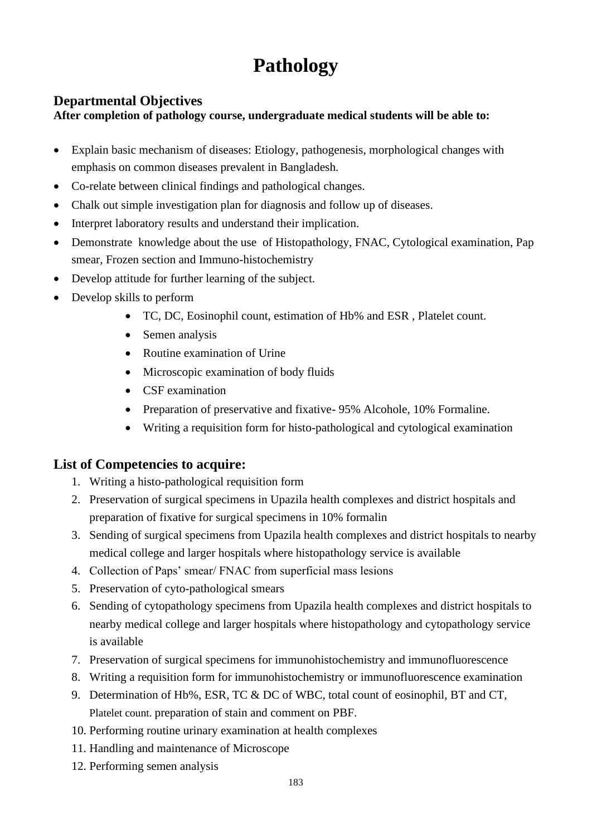# **Pathology**

## **Departmental Objectives**

### **After completion of pathology course, undergraduate medical students will be able to:**

- Explain basic mechanism of diseases: Etiology, pathogenesis, morphological changes with emphasis on common diseases prevalent in Bangladesh.
- Co-relate between clinical findings and pathological changes.
- Chalk out simple investigation plan for diagnosis and follow up of diseases.
- Interpret laboratory results and understand their implication.
- Demonstrate knowledge about the use of Histopathology, FNAC, Cytological examination, Pap smear, Frozen section and Immuno-histochemistry
- Develop attitude for further learning of the subject.
- Develop skills to perform
	- TC, DC, Eosinophil count, estimation of Hb% and ESR , Platelet count.
	- Semen analysis
	- Routine examination of Urine
	- Microscopic examination of body fluids
	- CSF examination
	- Preparation of preservative and fixative-95% Alcohole, 10% Formaline.
	- Writing a requisition form for histo-pathological and cytological examination

## **List of Competencies to acquire:**

- 1. Writing a histo-pathological requisition form
- 2. Preservation of surgical specimens in Upazila health complexes and district hospitals and preparation of fixative for surgical specimens in 10% formalin
- 3. Sending of surgical specimens from Upazila health complexes and district hospitals to nearby medical college and larger hospitals where histopathology service is available
- 4. Collection of Paps' smear/ FNAC from superficial mass lesions
- 5. Preservation of cyto-pathological smears
- 6. Sending of cytopathology specimens from Upazila health complexes and district hospitals to nearby medical college and larger hospitals where histopathology and cytopathology service is available
- 7. Preservation of surgical specimens for immunohistochemistry and immunofluorescence
- 8. Writing a requisition form for immunohistochemistry or immunofluorescence examination
- 9. Determination of Hb%, ESR, TC & DC of WBC, total count of eosinophil, BT and CT, Platelet count. preparation of stain and comment on PBF.
- 10. Performing routine urinary examination at health complexes
- 11. Handling and maintenance of Microscope
- 12. Performing semen analysis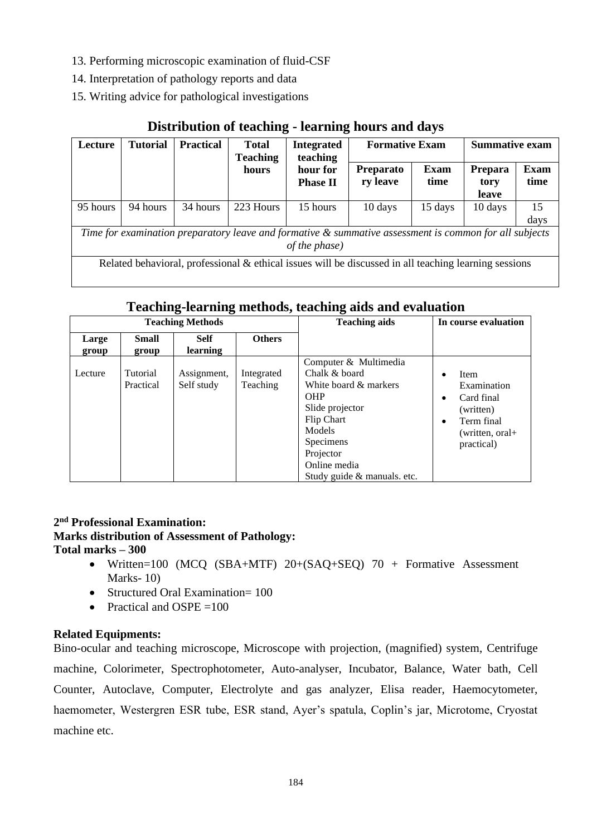- 13. Performing microscopic examination of fluid-CSF
- 14. Interpretation of pathology reports and data
- 15. Writing advice for pathological investigations

| Lecture                                                                                                                    | <b>Tutorial</b> | <b>Practical</b> | <b>Total</b><br><b>Teaching</b> | <b>Integrated</b><br>teaching | <b>Formative Exam</b>        |                     | <b>Summative exam</b>    |                     |
|----------------------------------------------------------------------------------------------------------------------------|-----------------|------------------|---------------------------------|-------------------------------|------------------------------|---------------------|--------------------------|---------------------|
|                                                                                                                            |                 |                  | hours                           | hour for<br><b>Phase II</b>   | <b>Preparato</b><br>ry leave | <b>Exam</b><br>time | Prepara<br>tory<br>leave | <b>Exam</b><br>time |
| 95 hours                                                                                                                   | 94 hours        | 34 hours         | 223 Hours                       | 15 hours                      | 10 days                      | 15 days             | 10 days                  | 15<br>days          |
| Time for examination preparatory leave and formative $\&$ summative assessment is common for all subjects<br>of the phase) |                 |                  |                                 |                               |                              |                     |                          |                     |
| Related behavioral, professional & ethical issues will be discussed in all teaching learning sessions                      |                 |                  |                                 |                               |                              |                     |                          |                     |

## **Distribution of teaching - learning hours and days**

## **Teaching-learning methods, teaching aids and evaluation**

| <b>Teaching Methods</b> |                       |                           |                        | <b>Teaching aids</b>                                                                                                                                                                              | In course evaluation                                                                                 |
|-------------------------|-----------------------|---------------------------|------------------------|---------------------------------------------------------------------------------------------------------------------------------------------------------------------------------------------------|------------------------------------------------------------------------------------------------------|
| Large<br>group          | <b>Small</b><br>group | <b>Self</b><br>learning   | <b>Others</b>          |                                                                                                                                                                                                   |                                                                                                      |
| Lecture                 | Tutorial<br>Practical | Assignment,<br>Self study | Integrated<br>Teaching | Computer & Multimedia<br>Chalk & board<br>White board & markers<br><b>OHP</b><br>Slide projector<br>Flip Chart<br>Models<br>Specimens<br>Projector<br>Online media<br>Study guide & manuals. etc. | <b>Item</b><br>Examination<br>Card final<br>(written)<br>Term final<br>(written, oral+<br>practical) |

#### **2 nd Professional Examination: Marks distribution of Assessment of Pathology: Total marks – 300**

- Written=100 (MCQ (SBA+MTF) 20+(SAQ+SEQ) 70 + Formative Assessment Marks- 10)
- Structured Oral Examination= 100
- Practical and OSPE  $=100$

## **Related Equipments:**

Bino-ocular and teaching microscope, Microscope with projection, (magnified) system, Centrifuge machine, Colorimeter, Spectrophotometer, Auto-analyser, Incubator, Balance, Water bath, Cell Counter, Autoclave, Computer, Electrolyte and gas analyzer, Elisa reader, Haemocytometer, haemometer, Westergren ESR tube, ESR stand, Ayer's spatula, Coplin's jar, Microtome, Cryostat machine etc.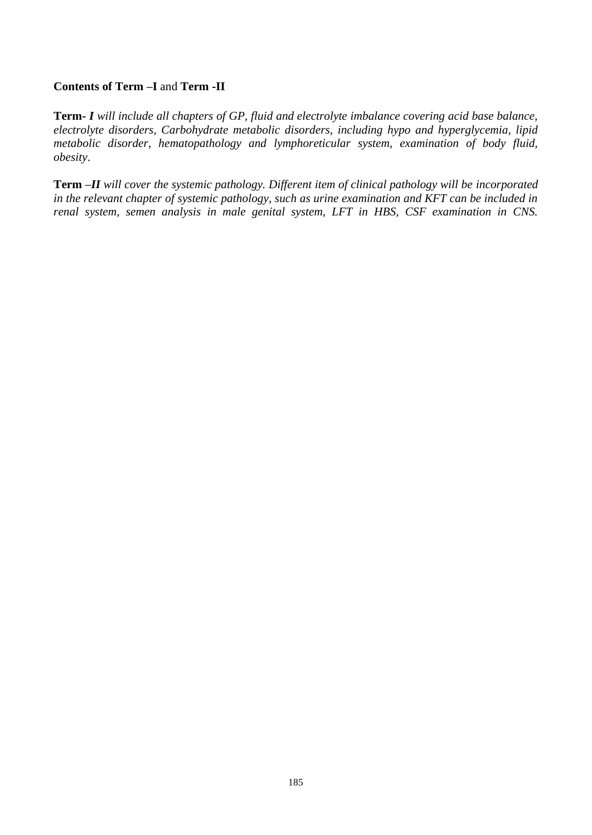### **Contents of Term –I** and **Term -II**

**Term-** *I will include all chapters of GP, fluid and electrolyte imbalance covering acid base balance, electrolyte disorders, Carbohydrate metabolic disorders, including hypo and hyperglycemia, lipid metabolic disorder, hematopathology and lymphoreticular system, examination of body fluid, obesity*.

**Term** *–II will cover the systemic pathology. Different item of clinical pathology will be incorporated in the relevant chapter of systemic pathology, such as urine examination and KFT can be included in renal system, semen analysis in male genital system, LFT in HBS, CSF examination in CNS.*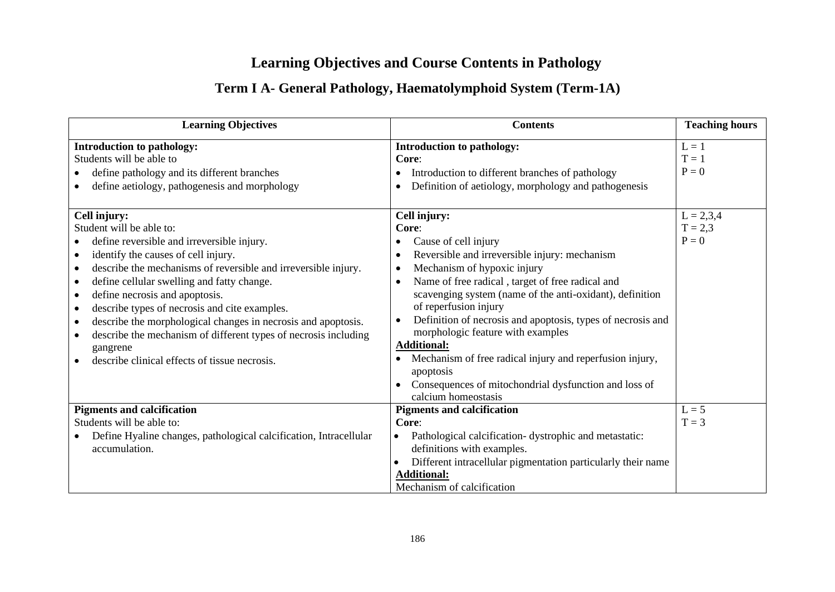# **Learning Objectives and Course Contents in Pathology**

# **Term I A- General Pathology, Haematolymphoid System (Term-1A)**

| <b>Learning Objectives</b>                                                                                                                                                                                                                                                                                                                                                                                                                                     | <b>Contents</b>                                                                                                                                                                                                                                                                                                                                                                                                                                                                                | <b>Teaching hours</b>                                                |
|----------------------------------------------------------------------------------------------------------------------------------------------------------------------------------------------------------------------------------------------------------------------------------------------------------------------------------------------------------------------------------------------------------------------------------------------------------------|------------------------------------------------------------------------------------------------------------------------------------------------------------------------------------------------------------------------------------------------------------------------------------------------------------------------------------------------------------------------------------------------------------------------------------------------------------------------------------------------|----------------------------------------------------------------------|
| <b>Introduction to pathology:</b><br>Students will be able to<br>define pathology and its different branches<br>define aetiology, pathogenesis and morphology<br>Cell injury:<br>Student will be able to:<br>define reversible and irreversible injury.<br>identify the causes of cell injury.<br>$\bullet$                                                                                                                                                    | <b>Introduction to pathology:</b><br>Core:<br>Introduction to different branches of pathology<br>Definition of aetiology, morphology and pathogenesis<br>$\bullet$<br>Cell injury:<br>Core:<br>Cause of cell injury<br>Reversible and irreversible injury: mechanism<br>$\bullet$                                                                                                                                                                                                              | $L = 1$<br>$T = 1$<br>$P = 0$<br>$L = 2,3,4$<br>$T = 2,3$<br>$P = 0$ |
| describe the mechanisms of reversible and irreversible injury.<br>٠<br>define cellular swelling and fatty change.<br>$\bullet$<br>define necrosis and apoptosis.<br>$\bullet$<br>describe types of necrosis and cite examples.<br>٠<br>describe the morphological changes in necrosis and apoptosis.<br>$\bullet$<br>describe the mechanism of different types of necrosis including<br>$\bullet$<br>gangrene<br>describe clinical effects of tissue necrosis. | Mechanism of hypoxic injury<br>$\bullet$<br>Name of free radical, target of free radical and<br>$\bullet$<br>scavenging system (name of the anti-oxidant), definition<br>of reperfusion injury<br>Definition of necrosis and apoptosis, types of necrosis and<br>$\bullet$<br>morphologic feature with examples<br><b>Additional:</b><br>Mechanism of free radical injury and reperfusion injury,<br>apoptosis<br>Consequences of mitochondrial dysfunction and loss of<br>calcium homeostasis |                                                                      |
| <b>Pigments and calcification</b><br>Students will be able to:<br>Define Hyaline changes, pathological calcification, Intracellular<br>accumulation.                                                                                                                                                                                                                                                                                                           | <b>Pigments and calcification</b><br>Core:<br>Pathological calcification-dystrophic and metastatic:<br>$\bullet$<br>definitions with examples.<br>Different intracellular pigmentation particularly their name<br><b>Additional:</b><br>Mechanism of calcification                                                                                                                                                                                                                             | $L = 5$<br>$T = 3$                                                   |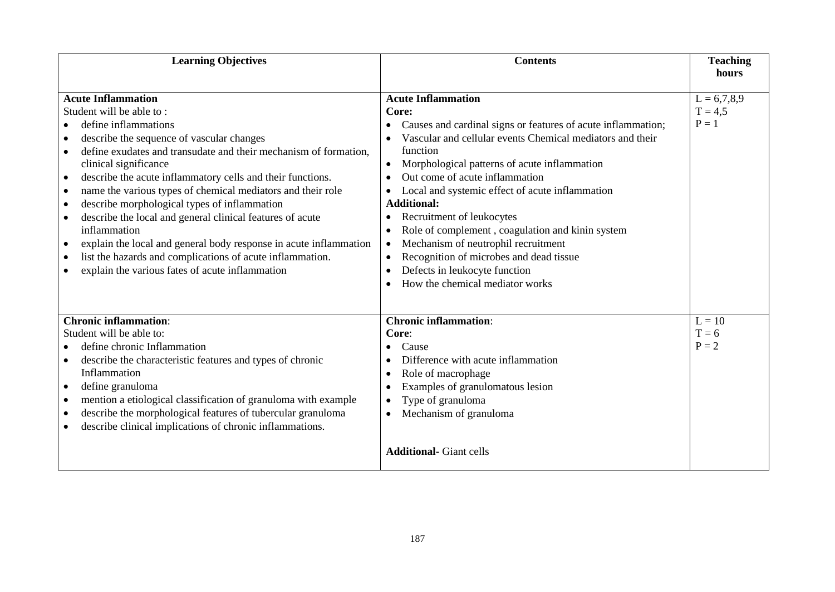| <b>Learning Objectives</b>                                                                                                                                                                                                                                                                                                                                                                                                                                                                                                                                                                                                                                                                                                                   | <b>Contents</b>                                                                                                                                                                                                                                                                                                                                                                                                                                                                                                                                                                                                                                             | <b>Teaching</b><br>hours              |
|----------------------------------------------------------------------------------------------------------------------------------------------------------------------------------------------------------------------------------------------------------------------------------------------------------------------------------------------------------------------------------------------------------------------------------------------------------------------------------------------------------------------------------------------------------------------------------------------------------------------------------------------------------------------------------------------------------------------------------------------|-------------------------------------------------------------------------------------------------------------------------------------------------------------------------------------------------------------------------------------------------------------------------------------------------------------------------------------------------------------------------------------------------------------------------------------------------------------------------------------------------------------------------------------------------------------------------------------------------------------------------------------------------------------|---------------------------------------|
| <b>Acute Inflammation</b><br>Student will be able to:<br>define inflammations<br>describe the sequence of vascular changes<br>$\bullet$<br>define exudates and transudate and their mechanism of formation,<br>clinical significance<br>describe the acute inflammatory cells and their functions.<br>$\bullet$<br>name the various types of chemical mediators and their role<br>$\bullet$<br>describe morphological types of inflammation<br>$\bullet$<br>describe the local and general clinical features of acute<br>$\bullet$<br>inflammation<br>explain the local and general body response in acute inflammation<br>٠<br>list the hazards and complications of acute inflammation.<br>explain the various fates of acute inflammation | <b>Acute Inflammation</b><br>Core:<br>Causes and cardinal signs or features of acute inflammation;<br>Vascular and cellular events Chemical mediators and their<br>function<br>Morphological patterns of acute inflammation<br>$\bullet$<br>Out come of acute inflammation<br>$\bullet$<br>Local and systemic effect of acute inflammation<br><b>Additional:</b><br>Recruitment of leukocytes<br>$\bullet$<br>Role of complement, coagulation and kinin system<br>Mechanism of neutrophil recruitment<br>$\bullet$<br>Recognition of microbes and dead tissue<br>$\bullet$<br>Defects in leukocyte function<br>$\bullet$<br>How the chemical mediator works | $L = 6,7,8,9$<br>$T = 4.5$<br>$P = 1$ |
| <b>Chronic inflammation:</b><br>Student will be able to:<br>define chronic Inflammation<br>describe the characteristic features and types of chronic<br>Inflammation<br>define granuloma<br>$\bullet$<br>mention a etiological classification of granuloma with example<br>$\bullet$<br>describe the morphological features of tubercular granuloma<br>$\bullet$<br>describe clinical implications of chronic inflammations.                                                                                                                                                                                                                                                                                                                 | <b>Chronic inflammation:</b><br>Core:<br>Cause<br>Difference with acute inflammation<br>Role of macrophage<br>-<br>Examples of granulomatous lesion<br>$\bullet$<br>Type of granuloma<br>$\bullet$<br>Mechanism of granuloma<br>$\bullet$<br><b>Additional-</b> Giant cells                                                                                                                                                                                                                                                                                                                                                                                 | $L = 10$<br>$T = 6$<br>$P = 2$        |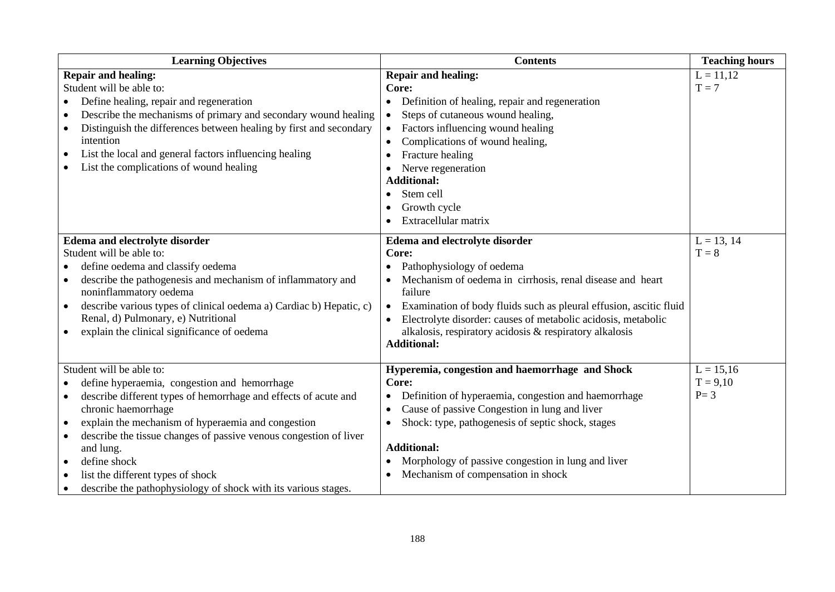| <b>Learning Objectives</b>                                                       | <b>Contents</b>                                                    | <b>Teaching hours</b> |
|----------------------------------------------------------------------------------|--------------------------------------------------------------------|-----------------------|
| <b>Repair and healing:</b>                                                       | <b>Repair and healing:</b>                                         | $L = 11,12$           |
| Student will be able to:                                                         | Core:                                                              | $T = 7$               |
| Define healing, repair and regeneration                                          | Definition of healing, repair and regeneration                     |                       |
| Describe the mechanisms of primary and secondary wound healing                   | Steps of cutaneous wound healing,                                  |                       |
| Distinguish the differences between healing by first and secondary               | • Factors influencing wound healing                                |                       |
| intention                                                                        | Complications of wound healing,                                    |                       |
| List the local and general factors influencing healing<br>$\bullet$              | Fracture healing                                                   |                       |
| List the complications of wound healing                                          | Nerve regeneration                                                 |                       |
|                                                                                  | <b>Additional:</b>                                                 |                       |
|                                                                                  | Stem cell                                                          |                       |
|                                                                                  | Growth cycle                                                       |                       |
|                                                                                  | Extracellular matrix                                               |                       |
| Edema and electrolyte disorder                                                   | Edema and electrolyte disorder                                     | $L = 13, 14$          |
| Student will be able to:                                                         | Core:                                                              | $T = 8$               |
| define oedema and classify oedema                                                | Pathophysiology of oedema                                          |                       |
| describe the pathogenesis and mechanism of inflammatory and                      | Mechanism of oedema in cirrhosis, renal disease and heart          |                       |
| noninflammatory oedema                                                           | failure                                                            |                       |
| describe various types of clinical oedema a) Cardiac b) Hepatic, c)<br>$\bullet$ | Examination of body fluids such as pleural effusion, ascitic fluid |                       |
| Renal, d) Pulmonary, e) Nutritional                                              | Electrolyte disorder: causes of metabolic acidosis, metabolic      |                       |
| explain the clinical significance of oedema<br>$\bullet$                         | alkalosis, respiratory acidosis & respiratory alkalosis            |                       |
|                                                                                  | <b>Additional:</b>                                                 |                       |
| Student will be able to:                                                         | Hyperemia, congestion and haemorrhage and Shock                    | $L = 15,16$           |
| define hyperaemia, congestion and hemorrhage                                     | Core:                                                              | $T = 9,10$            |
| describe different types of hemorrhage and effects of acute and<br>$\bullet$     | Definition of hyperaemia, congestion and haemorrhage               | $P = 3$               |
| chronic haemorrhage                                                              | Cause of passive Congestion in lung and liver                      |                       |
| explain the mechanism of hyperaemia and congestion<br>$\bullet$                  | Shock: type, pathogenesis of septic shock, stages                  |                       |
| describe the tissue changes of passive venous congestion of liver                |                                                                    |                       |
| and lung.                                                                        | <b>Additional:</b>                                                 |                       |
| define shock<br>$\bullet$                                                        | Morphology of passive congestion in lung and liver                 |                       |
| list the different types of shock                                                | Mechanism of compensation in shock                                 |                       |
| describe the pathophysiology of shock with its various stages.                   |                                                                    |                       |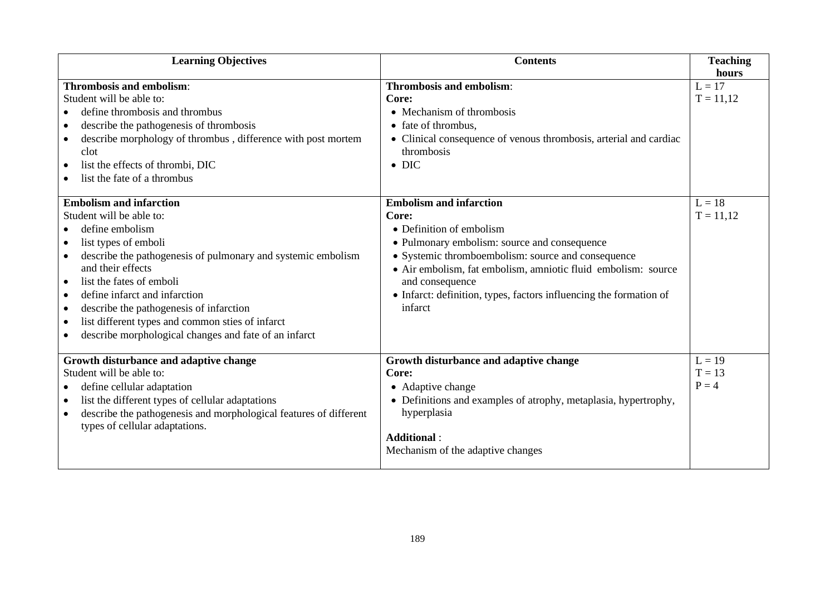| <b>Learning Objectives</b>                                                                                                                                                                                                                                                                                                                                                                                                                                    | <b>Contents</b>                                                                                                                                                                                                                                                                                                         | <b>Teaching</b>                                             |
|---------------------------------------------------------------------------------------------------------------------------------------------------------------------------------------------------------------------------------------------------------------------------------------------------------------------------------------------------------------------------------------------------------------------------------------------------------------|-------------------------------------------------------------------------------------------------------------------------------------------------------------------------------------------------------------------------------------------------------------------------------------------------------------------------|-------------------------------------------------------------|
| <b>Thrombosis and embolism:</b><br>Student will be able to:<br>define thrombosis and thrombus<br>describe the pathogenesis of thrombosis<br>$\bullet$<br>describe morphology of thrombus, difference with post mortem<br>$\bullet$<br>clot<br>list the effects of thrombi, DIC<br>$\bullet$<br>list the fate of a thrombus<br><b>Embolism and infarction</b><br>Student will be able to:<br>define embolism<br>$\bullet$<br>list types of emboli<br>$\bullet$ | <b>Thrombosis and embolism:</b><br>Core:<br>• Mechanism of thrombosis<br>• fate of thrombus,<br>• Clinical consequence of venous thrombosis, arterial and cardiac<br>thrombosis<br>$\bullet$ DIC<br><b>Embolism and infarction</b><br>Core:<br>• Definition of embolism<br>• Pulmonary embolism: source and consequence | hours<br>$L = 17$<br>$T = 11,12$<br>$L = 18$<br>$T = 11,12$ |
| describe the pathogenesis of pulmonary and systemic embolism<br>$\bullet$<br>and their effects<br>list the fates of emboli<br>$\bullet$<br>define infarct and infarction<br>$\bullet$<br>describe the pathogenesis of infarction<br>$\bullet$<br>list different types and common sties of infarct<br>$\bullet$<br>describe morphological changes and fate of an infarct                                                                                       | • Systemic thromboembolism: source and consequence<br>• Air embolism, fat embolism, amniotic fluid embolism: source<br>and consequence<br>• Infarct: definition, types, factors influencing the formation of<br>infarct                                                                                                 |                                                             |
| Growth disturbance and adaptive change<br>Student will be able to:<br>define cellular adaptation<br>list the different types of cellular adaptations<br>describe the pathogenesis and morphological features of different<br>$\bullet$<br>types of cellular adaptations.                                                                                                                                                                                      | Growth disturbance and adaptive change<br>Core:<br>• Adaptive change<br>• Definitions and examples of atrophy, metaplasia, hypertrophy,<br>hyperplasia<br><b>Additional:</b><br>Mechanism of the adaptive changes                                                                                                       | $L = 19$<br>$T = 13$<br>$P = 4$                             |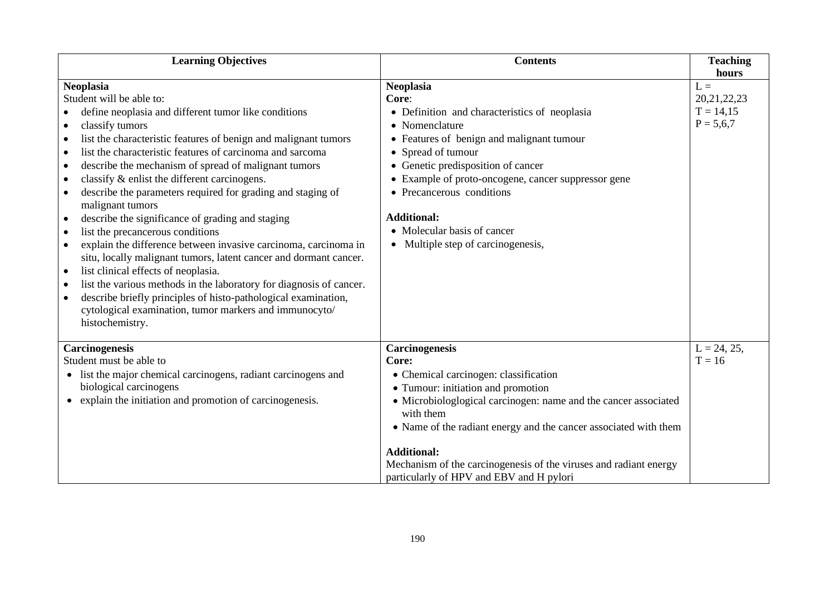| <b>Learning Objectives</b>                                                      | <b>Contents</b>                                                   | <b>Teaching</b> |
|---------------------------------------------------------------------------------|-------------------------------------------------------------------|-----------------|
|                                                                                 |                                                                   | hours           |
| <b>Neoplasia</b>                                                                | <b>Neoplasia</b>                                                  | $L =$           |
| Student will be able to:                                                        | Core:                                                             | 20, 21, 22, 23  |
| define neoplasia and different tumor like conditions                            | • Definition and characteristics of neoplasia                     | $T = 14,15$     |
| classify tumors<br>$\bullet$                                                    | • Nomenclature                                                    | $P = 5,6,7$     |
| list the characteristic features of benign and malignant tumors                 | • Features of benign and malignant tumour                         |                 |
| list the characteristic features of carcinoma and sarcoma<br>$\bullet$          | • Spread of tumour                                                |                 |
| describe the mechanism of spread of malignant tumors<br>$\bullet$               | • Genetic predisposition of cancer                                |                 |
| classify & enlist the different carcinogens.<br>$\bullet$                       | • Example of proto-oncogene, cancer suppressor gene               |                 |
| describe the parameters required for grading and staging of<br>malignant tumors | • Precancerous conditions                                         |                 |
| describe the significance of grading and staging<br>$\bullet$                   | <b>Additional:</b>                                                |                 |
| list the precancerous conditions<br>$\bullet$                                   | • Molecular basis of cancer                                       |                 |
| explain the difference between invasive carcinoma, carcinoma in<br>$\bullet$    | • Multiple step of carcinogenesis,                                |                 |
| situ, locally malignant tumors, latent cancer and dormant cancer.               |                                                                   |                 |
| list clinical effects of neoplasia.<br>$\bullet$                                |                                                                   |                 |
| list the various methods in the laboratory for diagnosis of cancer.             |                                                                   |                 |
| describe briefly principles of histo-pathological examination,<br>$\bullet$     |                                                                   |                 |
| cytological examination, tumor markers and immunocyto/                          |                                                                   |                 |
| histochemistry.                                                                 |                                                                   |                 |
|                                                                                 |                                                                   |                 |
| Carcinogenesis                                                                  | Carcinogenesis                                                    | $L = 24, 25,$   |
| Student must be able to                                                         | Core:                                                             | $T = 16$        |
| • list the major chemical carcinogens, radiant carcinogens and                  | • Chemical carcinogen: classification                             |                 |
| biological carcinogens                                                          | • Tumour: initiation and promotion                                |                 |
| explain the initiation and promotion of carcinogenesis.<br>$\bullet$            | • Microbiologlogical carcinogen: name and the cancer associated   |                 |
|                                                                                 | with them                                                         |                 |
|                                                                                 | • Name of the radiant energy and the cancer associated with them  |                 |
|                                                                                 | <b>Additional:</b>                                                |                 |
|                                                                                 | Mechanism of the carcinogenesis of the viruses and radiant energy |                 |
|                                                                                 | particularly of HPV and EBV and H pylori                          |                 |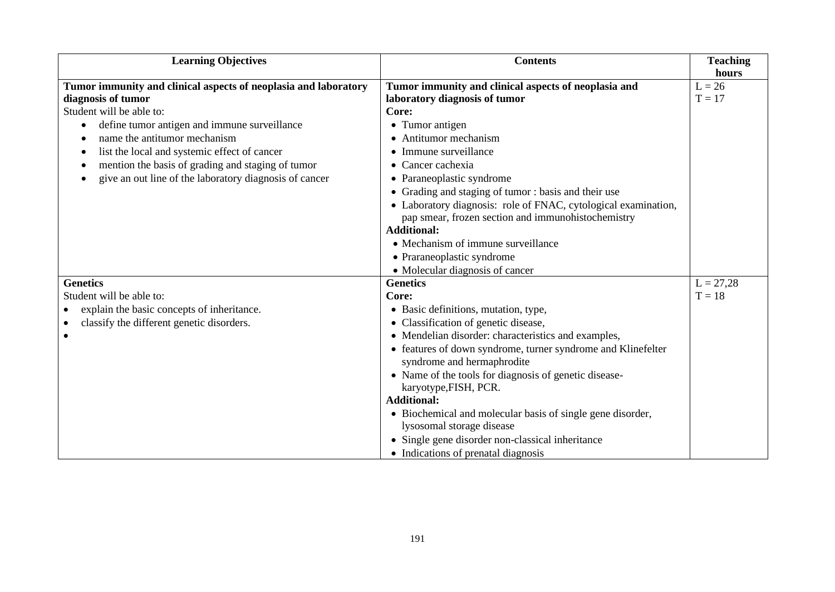| <b>Learning Objectives</b>                                      | <b>Contents</b>                                                                                                      | <b>Teaching</b> |
|-----------------------------------------------------------------|----------------------------------------------------------------------------------------------------------------------|-----------------|
|                                                                 |                                                                                                                      | hours           |
| Tumor immunity and clinical aspects of neoplasia and laboratory | Tumor immunity and clinical aspects of neoplasia and                                                                 | $L = 26$        |
| diagnosis of tumor                                              | laboratory diagnosis of tumor                                                                                        | $T = 17$        |
| Student will be able to:                                        | Core:                                                                                                                |                 |
| define tumor antigen and immune surveillance                    | • Tumor antigen                                                                                                      |                 |
| name the antitumor mechanism                                    | Antitumor mechanism<br>$\bullet$                                                                                     |                 |
| list the local and systemic effect of cancer                    | • Immune surveillance                                                                                                |                 |
| mention the basis of grading and staging of tumor               | • Cancer cachexia                                                                                                    |                 |
| give an out line of the laboratory diagnosis of cancer          | • Paraneoplastic syndrome                                                                                            |                 |
|                                                                 | • Grading and staging of tumor: basis and their use                                                                  |                 |
|                                                                 | • Laboratory diagnosis: role of FNAC, cytological examination,<br>pap smear, frozen section and immunohistochemistry |                 |
|                                                                 | <b>Additional:</b>                                                                                                   |                 |
|                                                                 | • Mechanism of immune surveillance                                                                                   |                 |
|                                                                 | • Praraneoplastic syndrome                                                                                           |                 |
|                                                                 | • Molecular diagnosis of cancer                                                                                      |                 |
| <b>Genetics</b>                                                 | <b>Genetics</b>                                                                                                      | $L = 27,28$     |
| Student will be able to:                                        | Core:                                                                                                                | $T = 18$        |
| explain the basic concepts of inheritance.                      | • Basic definitions, mutation, type,                                                                                 |                 |
| classify the different genetic disorders.                       | • Classification of genetic disease,                                                                                 |                 |
| ٠                                                               | • Mendelian disorder: characteristics and examples,                                                                  |                 |
|                                                                 | • features of down syndrome, turner syndrome and Klinefelter                                                         |                 |
|                                                                 | syndrome and hermaphrodite                                                                                           |                 |
|                                                                 | • Name of the tools for diagnosis of genetic disease-                                                                |                 |
|                                                                 | karyotype, FISH, PCR.                                                                                                |                 |
|                                                                 | <b>Additional:</b>                                                                                                   |                 |
|                                                                 | • Biochemical and molecular basis of single gene disorder,                                                           |                 |
|                                                                 | lysosomal storage disease                                                                                            |                 |
|                                                                 | • Single gene disorder non-classical inheritance                                                                     |                 |
|                                                                 | • Indications of prenatal diagnosis                                                                                  |                 |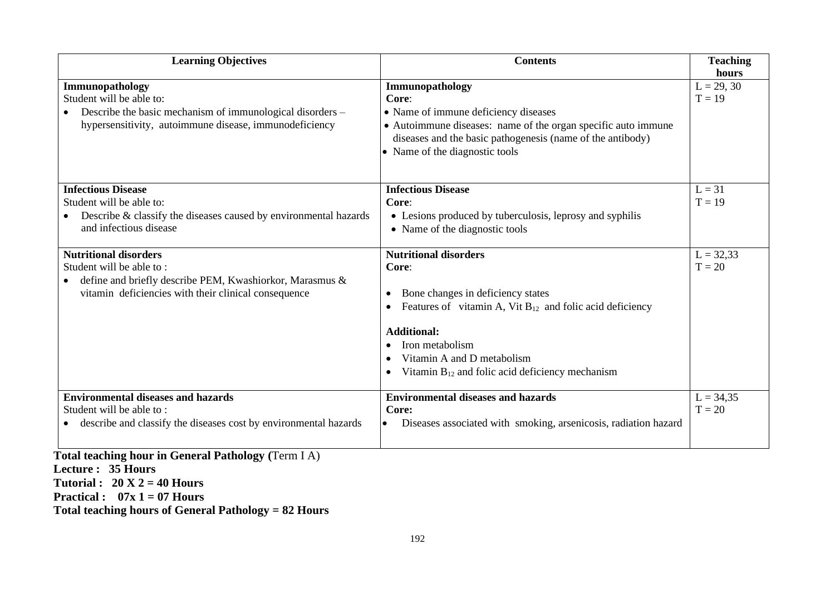| <b>Learning Objectives</b>                                                                                       | <b>Contents</b>                                                 | <b>Teaching</b><br>hours |
|------------------------------------------------------------------------------------------------------------------|-----------------------------------------------------------------|--------------------------|
| Immunopathology                                                                                                  | Immunopathology                                                 | $L = 29, 30$             |
| Student will be able to:                                                                                         | Core:                                                           | $T = 19$                 |
| Describe the basic mechanism of immunological disorders –                                                        | • Name of immune deficiency diseases                            |                          |
| hypersensitivity, autoimmune disease, immunodeficiency                                                           | • Autoimmune diseases: name of the organ specific auto immune   |                          |
|                                                                                                                  | diseases and the basic pathogenesis (name of the antibody)      |                          |
|                                                                                                                  | • Name of the diagnostic tools                                  |                          |
| <b>Infectious Disease</b>                                                                                        | <b>Infectious Disease</b>                                       | $L = 31$                 |
| Student will be able to:                                                                                         | Core:                                                           | $T = 19$                 |
| Describe & classify the diseases caused by environmental hazards<br>$\bullet$                                    | • Lesions produced by tuberculosis, leprosy and syphilis        |                          |
| and infectious disease                                                                                           | • Name of the diagnostic tools                                  |                          |
| <b>Nutritional disorders</b>                                                                                     | <b>Nutritional disorders</b>                                    | $L = 32,33$              |
| Student will be able to:                                                                                         | Core:                                                           | $T = 20$                 |
| define and briefly describe PEM, Kwashiorkor, Marasmus &<br>vitamin deficiencies with their clinical consequence | Bone changes in deficiency states<br>$\bullet$                  |                          |
|                                                                                                                  | Features of vitamin A, Vit $B_{12}$ and folic acid deficiency   |                          |
|                                                                                                                  | <b>Additional:</b>                                              |                          |
|                                                                                                                  | Iron metabolism                                                 |                          |
|                                                                                                                  | Vitamin A and D metabolism                                      |                          |
|                                                                                                                  | Vitamin $B_{12}$ and folic acid deficiency mechanism            |                          |
| <b>Environmental diseases and hazards</b>                                                                        | <b>Environmental diseases and hazards</b>                       | $L = 34,35$              |
| Student will be able to:                                                                                         | Core:                                                           | $T = 20$                 |
| describe and classify the diseases cost by environmental hazards                                                 | Diseases associated with smoking, arsenicosis, radiation hazard |                          |
| Total teaching hour in General Pathology (Term I A)                                                              |                                                                 |                          |

**Lecture : 35 Hours Tutorial : 20 X 2 = 40 Hours Practical : 07x 1 = 07 Hours Total teaching hours of General Pathology = 82 Hours**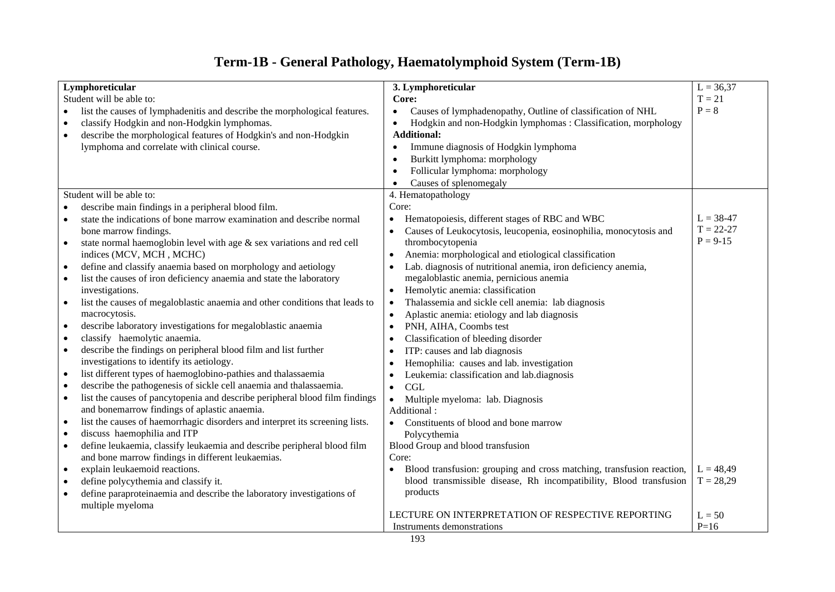# **Term-1B - General Pathology, Haematolymphoid System (Term-1B)**

|                          | Lymphoreticular                                                              | 3. Lymphoreticular                                                       | $L = 36,37$          |
|--------------------------|------------------------------------------------------------------------------|--------------------------------------------------------------------------|----------------------|
| Student will be able to: |                                                                              | Core:                                                                    | $T = 21$             |
|                          | list the causes of lymphadenitis and describe the morphological features.    | Causes of lymphadenopathy, Outline of classification of NHL<br>$\bullet$ | $P = 8$              |
|                          | classify Hodgkin and non-Hodgkin lymphomas.                                  | Hodgkin and non-Hodgkin lymphomas : Classification, morphology<br>٠      |                      |
| $\bullet$                | describe the morphological features of Hodgkin's and non-Hodgkin             | <b>Additional:</b>                                                       |                      |
|                          | lymphoma and correlate with clinical course.                                 | Immune diagnosis of Hodgkin lymphoma                                     |                      |
|                          |                                                                              | Burkitt lymphoma: morphology<br>$\bullet$                                |                      |
|                          |                                                                              | Follicular lymphoma: morphology<br>$\epsilon$                            |                      |
|                          |                                                                              | Causes of splenomegaly<br>$\bullet$                                      |                      |
|                          | Student will be able to:                                                     | 4. Hematopathology                                                       |                      |
|                          | describe main findings in a peripheral blood film.                           | Core:                                                                    |                      |
|                          | state the indications of bone marrow examination and describe normal         | Hematopoiesis, different stages of RBC and WBC<br>$\bullet$              | $L = 38-47$          |
|                          | bone marrow findings.                                                        | Causes of Leukocytosis, leucopenia, eosinophilia, monocytosis and        | $T = 22 - 27$        |
| $\bullet$                | state normal haemoglobin level with age & sex variations and red cell        | thrombocytopenia                                                         | $P = 9-15$           |
|                          | indices (MCV, MCH, MCHC)                                                     | Anemia: morphological and etiological classification                     |                      |
| ٠                        | define and classify anaemia based on morphology and aetiology                | Lab. diagnosis of nutritional anemia, iron deficiency anemia,            |                      |
| $\bullet$                | list the causes of iron deficiency anaemia and state the laboratory          | megaloblastic anemia, pernicious anemia                                  |                      |
|                          | investigations.                                                              | Hemolytic anemia: classification<br>$\bullet$                            |                      |
| $\bullet$                | list the causes of megaloblastic anaemia and other conditions that leads to  | Thalassemia and sickle cell anemia: lab diagnosis<br>$\bullet$           |                      |
|                          | macrocytosis.                                                                | Aplastic anemia: etiology and lab diagnosis<br>$\bullet$                 |                      |
| $\bullet$                | describe laboratory investigations for megaloblastic anaemia                 | PNH, AIHA, Coombs test<br>$\bullet$                                      |                      |
| $\bullet$                | classify haemolytic anaemia.                                                 | Classification of bleeding disorder<br>$\bullet$                         |                      |
| $\bullet$                | describe the findings on peripheral blood film and list further              | ITP: causes and lab diagnosis                                            |                      |
|                          | investigations to identify its aetiology.                                    | Hemophilia: causes and lab. investigation                                |                      |
| $\bullet$                | list different types of haemoglobino-pathies and thalassaemia                | Leukemia: classification and lab.diagnosis                               |                      |
| $\bullet$                | describe the pathogenesis of sickle cell anaemia and thalassaemia.           | CGL<br>$\bullet$                                                         |                      |
| $\bullet$                | list the causes of pancytopenia and describe peripheral blood film findings  | Multiple myeloma: lab. Diagnosis<br>$\bullet$                            |                      |
|                          | and bonemarrow findings of aplastic anaemia.                                 | Additional:                                                              |                      |
| $\bullet$                | list the causes of haemorrhagic disorders and interpret its screening lists. | Constituents of blood and bone marrow<br>$\bullet$                       |                      |
| $\bullet$                | discuss haemophilia and ITP                                                  | Polycythemia                                                             |                      |
| $\bullet$                | define leukaemia, classify leukaemia and describe peripheral blood film      | Blood Group and blood transfusion                                        |                      |
|                          | and bone marrow findings in different leukaemias.                            | Core:                                                                    |                      |
| $\bullet$                | explain leukaemoid reactions.                                                | Blood transfusion: grouping and cross matching, transfusion reaction,    | $L = 48,49$          |
| $\bullet$                | define polycythemia and classify it.                                         | blood transmissible disease, Rh incompatibility, Blood transfusion       | $T = 28,29$          |
| $\bullet$                | define paraproteinaemia and describe the laboratory investigations of        | products                                                                 |                      |
|                          | multiple myeloma                                                             | LECTURE ON INTERPRETATION OF RESPECTIVE REPORTING                        |                      |
|                          |                                                                              |                                                                          | $L = 50$<br>$P = 16$ |
|                          |                                                                              | Instruments demonstrations                                               |                      |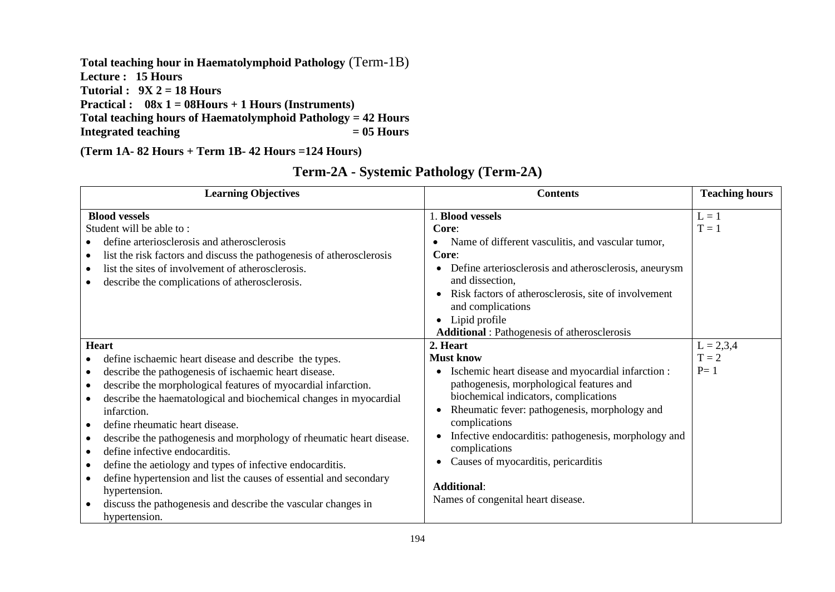**Total teaching hour in Haematolymphoid Pathology** (Term-1B) **Lecture : 15 Hours Tutorial : 9X 2 = 18 Hours Practical : 08x 1 = 08Hours + 1 Hours (Instruments) Total teaching hours of Haematolymphoid Pathology = 42 Hours Integrated teaching** 

**(Term 1A- 82 Hours + Term 1B- 42 Hours =124 Hours)**

| <b>Learning Objectives</b>                                                                                                                                                                                                                                                                                                                                                                                                                                                                                                                                                                                                                                                                  | <b>Contents</b>                                                                                                                                                                                                                                                                                                                                                                                                                    | <b>Teaching hours</b>           |
|---------------------------------------------------------------------------------------------------------------------------------------------------------------------------------------------------------------------------------------------------------------------------------------------------------------------------------------------------------------------------------------------------------------------------------------------------------------------------------------------------------------------------------------------------------------------------------------------------------------------------------------------------------------------------------------------|------------------------------------------------------------------------------------------------------------------------------------------------------------------------------------------------------------------------------------------------------------------------------------------------------------------------------------------------------------------------------------------------------------------------------------|---------------------------------|
| <b>Blood vessels</b><br>Student will be able to:<br>define arteriosclerosis and atherosclerosis<br>list the risk factors and discuss the pathogenesis of atherosclerosis<br>list the sites of involvement of atherosclerosis.<br>describe the complications of atherosclerosis.                                                                                                                                                                                                                                                                                                                                                                                                             | 1. Blood vessels<br>Core:<br>Name of different vasculitis, and vascular tumor,<br>Core:<br>Define arteriosclerosis and atherosclerosis, aneurysm<br>and dissection,<br>Risk factors of atherosclerosis, site of involvement<br>and complications<br>• Lipid profile<br><b>Additional</b> : Pathogenesis of atherosclerosis                                                                                                         | $L = 1$<br>$T = 1$              |
| Heart<br>define is chaemic heart disease and describe the types.<br>describe the pathogenesis of ischaemic heart disease.<br>$\bullet$<br>describe the morphological features of myocardial infarction.<br>$\bullet$<br>describe the haematological and biochemical changes in myocardial<br>infarction.<br>define rheumatic heart disease.<br>describe the pathogenesis and morphology of rheumatic heart disease.<br>define infective endocarditis.<br>define the aetiology and types of infective endocarditis.<br>define hypertension and list the causes of essential and secondary<br>hypertension.<br>discuss the pathogenesis and describe the vascular changes in<br>hypertension. | 2. Heart<br><b>Must know</b><br>Ischemic heart disease and myocardial infarction :<br>pathogenesis, morphological features and<br>biochemical indicators, complications<br>Rheumatic fever: pathogenesis, morphology and<br>$\bullet$<br>complications<br>Infective endocarditis: pathogenesis, morphology and<br>complications<br>Causes of myocarditis, pericarditis<br><b>Additional:</b><br>Names of congenital heart disease. | $L = 2,3,4$<br>$T = 2$<br>$P=1$ |

|  |  |  | Term-2A - Systemic Pathology (Term-2A) |
|--|--|--|----------------------------------------|
|--|--|--|----------------------------------------|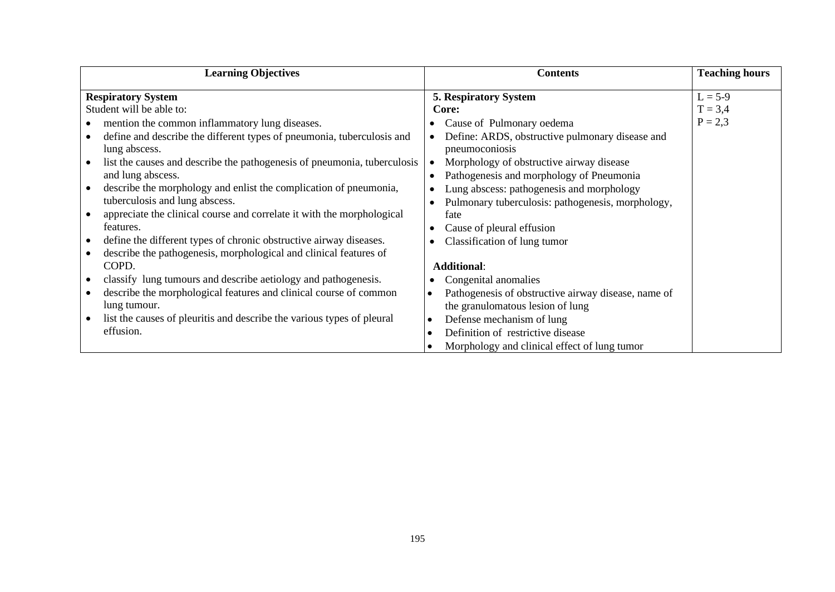| <b>Learning Objectives</b>                                                                                                                                                                                                                                                                                                                                                                                                                                                                                                                                                                                                                                                                                                                                                                                   | <b>Contents</b>                                                                                                                                                                                                                                                                                                                                                                                                                                                                                                                                                           | <b>Teaching hours</b>               |
|--------------------------------------------------------------------------------------------------------------------------------------------------------------------------------------------------------------------------------------------------------------------------------------------------------------------------------------------------------------------------------------------------------------------------------------------------------------------------------------------------------------------------------------------------------------------------------------------------------------------------------------------------------------------------------------------------------------------------------------------------------------------------------------------------------------|---------------------------------------------------------------------------------------------------------------------------------------------------------------------------------------------------------------------------------------------------------------------------------------------------------------------------------------------------------------------------------------------------------------------------------------------------------------------------------------------------------------------------------------------------------------------------|-------------------------------------|
| <b>Respiratory System</b><br>Student will be able to:<br>mention the common inflammatory lung diseases.<br>define and describe the different types of pneumonia, tuberculosis and<br>lung abscess.<br>list the causes and describe the pathogenesis of pneumonia, tuberculosis<br>and lung abscess.<br>describe the morphology and enlist the complication of pneumonia,<br>tuberculosis and lung abscess.<br>appreciate the clinical course and correlate it with the morphological<br>features.<br>define the different types of chronic obstructive airway diseases.<br>describe the pathogenesis, morphological and clinical features of<br>COPD.<br>classify lung tumours and describe aetiology and pathogenesis.<br>describe the morphological features and clinical course of common<br>lung tumour. | <b>5. Respiratory System</b><br>Core:<br>Cause of Pulmonary oedema<br>Define: ARDS, obstructive pulmonary disease and<br>pneumoconiosis<br>Morphology of obstructive airway disease<br>Pathogenesis and morphology of Pneumonia<br>$\bullet$<br>Lung abscess: pathogenesis and morphology<br>Pulmonary tuberculosis: pathogenesis, morphology,<br>fate<br>Cause of pleural effusion<br>Classification of lung tumor<br><b>Additional:</b><br>Congenital anomalies<br>Pathogenesis of obstructive airway disease, name of<br>$\bullet$<br>the granulomatous lesion of lung | $L = 5-9$<br>$T = 3,4$<br>$P = 2,3$ |
|                                                                                                                                                                                                                                                                                                                                                                                                                                                                                                                                                                                                                                                                                                                                                                                                              |                                                                                                                                                                                                                                                                                                                                                                                                                                                                                                                                                                           |                                     |
| list the causes of pleuritis and describe the various types of pleural<br>effusion.                                                                                                                                                                                                                                                                                                                                                                                                                                                                                                                                                                                                                                                                                                                          | Defense mechanism of lung<br>$\bullet$<br>Definition of restrictive disease<br>$\bullet$                                                                                                                                                                                                                                                                                                                                                                                                                                                                                  |                                     |
|                                                                                                                                                                                                                                                                                                                                                                                                                                                                                                                                                                                                                                                                                                                                                                                                              | Morphology and clinical effect of lung tumor<br>$\bullet$                                                                                                                                                                                                                                                                                                                                                                                                                                                                                                                 |                                     |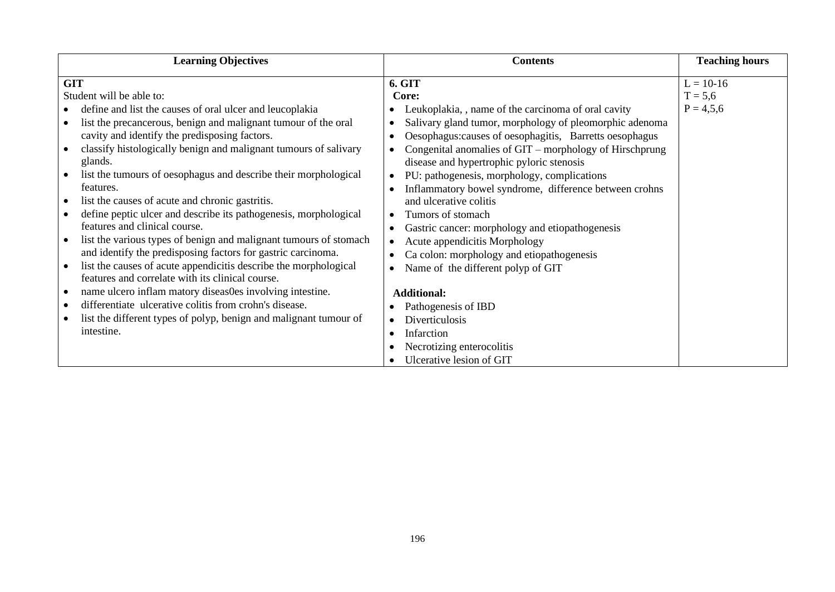|                                                                                                                                                                                                                                                                                                                                                                                                                                                                                                                                                                                                                                                                                                                                                                                                                                                                                                                                                                                                                                                                                                                                                                                          |                                                                                                                                                                                                                                                                                                                                                                                                                                                                                                                                                                                                                                                                                        | <b>Teaching hours</b>                   |
|------------------------------------------------------------------------------------------------------------------------------------------------------------------------------------------------------------------------------------------------------------------------------------------------------------------------------------------------------------------------------------------------------------------------------------------------------------------------------------------------------------------------------------------------------------------------------------------------------------------------------------------------------------------------------------------------------------------------------------------------------------------------------------------------------------------------------------------------------------------------------------------------------------------------------------------------------------------------------------------------------------------------------------------------------------------------------------------------------------------------------------------------------------------------------------------|----------------------------------------------------------------------------------------------------------------------------------------------------------------------------------------------------------------------------------------------------------------------------------------------------------------------------------------------------------------------------------------------------------------------------------------------------------------------------------------------------------------------------------------------------------------------------------------------------------------------------------------------------------------------------------------|-----------------------------------------|
| <b>GIT</b><br><b>6. GIT</b><br>Student will be able to:<br>Core:<br>define and list the causes of oral ulcer and leucoplakia<br>list the precancerous, benign and malignant tumour of the oral<br>$\bullet$<br>cavity and identify the predisposing factors.<br>classify histologically benign and malignant tumours of salivary<br>$\bullet$<br>glands.<br>list the tumours of oesophagus and describe their morphological<br>$\bullet$<br>features.<br>$\bullet$<br>list the causes of acute and chronic gastritis.<br>define peptic ulcer and describe its pathogenesis, morphological<br>$\bullet$<br>features and clinical course.<br>$\bullet$<br>list the various types of benign and malignant tumours of stomach<br>$\bullet$<br>and identify the predisposing factors for gastric carcinoma.<br>list the causes of acute appendicitis describe the morphological<br>$\bullet$<br>features and correlate with its clinical course.<br>name ulcero inflam matory diseas0es involving intestine.<br><b>Additional:</b><br>differentiate ulcerative colitis from crohn's disease.<br>list the different types of polyp, benign and malignant tumour of<br>intestine.<br>Infarction | Leukoplakia, , name of the carcinoma of oral cavity<br>Salivary gland tumor, morphology of pleomorphic adenoma<br>Oesophagus: causes of oesophagitis, Barretts oesophagus<br>Congenital anomalies of GIT – morphology of Hirschprung<br>disease and hypertrophic pyloric stenosis<br>PU: pathogenesis, morphology, complications<br>Inflammatory bowel syndrome, difference between crohns<br>and ulcerative colitis<br>Tumors of stomach<br>Gastric cancer: morphology and etiopathogenesis<br>Acute appendicitis Morphology<br>Ca colon: morphology and etiopathogenesis<br>Name of the different polyp of GIT<br>Pathogenesis of IBD<br>Diverticulosis<br>Necrotizing enterocolitis | $L = 10-16$<br>$T = 5,6$<br>$P = 4,5,6$ |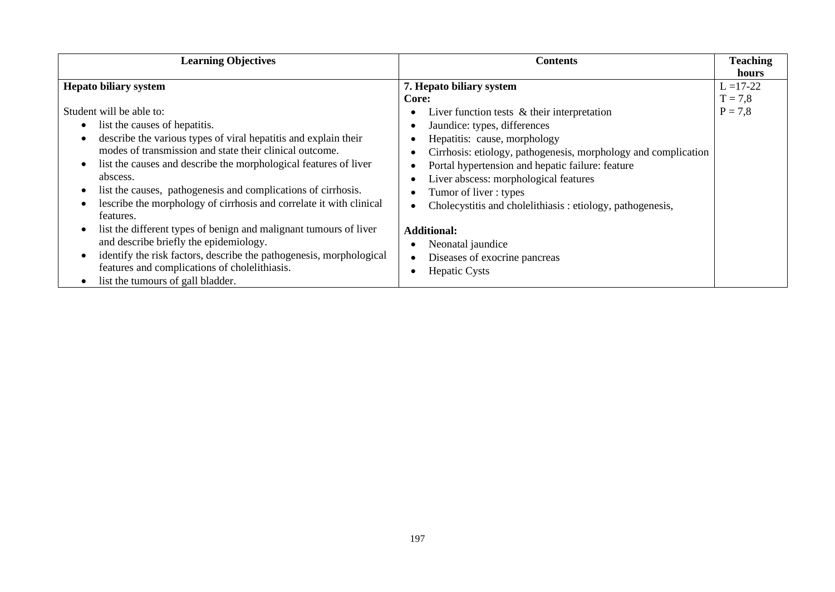| <b>Learning Objectives</b>                                          | <b>Contents</b>                                                | <b>Teaching</b> |
|---------------------------------------------------------------------|----------------------------------------------------------------|-----------------|
|                                                                     |                                                                | hours           |
| <b>Hepato biliary system</b>                                        | 7. Hepato biliary system                                       | $L = 17-22$     |
|                                                                     | Core:                                                          | $T = 7.8$       |
| Student will be able to:                                            | Liver function tests $\&$ their interpretation<br>$\bullet$    | $P = 7,8$       |
| list the causes of hepatitis.                                       | Jaundice: types, differences                                   |                 |
| describe the various types of viral hepatitis and explain their     | Hepatitis: cause, morphology<br>٠                              |                 |
| modes of transmission and state their clinical outcome.             | Cirrhosis: etiology, pathogenesis, morphology and complication |                 |
| list the causes and describe the morphological features of liver    | Portal hypertension and hepatic failure: feature               |                 |
| abscess.                                                            | Liver abscess: morphological features                          |                 |
| list the causes, pathogenesis and complications of cirrhosis.       | Tumor of liver: types<br>٠                                     |                 |
| lescribe the morphology of cirrhosis and correlate it with clinical | Cholecystitis and cholelithiasis: etiology, pathogenesis,      |                 |
| features.                                                           |                                                                |                 |
| list the different types of benign and malignant tumours of liver   | <b>Additional:</b>                                             |                 |
| and describe briefly the epidemiology.                              | Neonatal jaundice                                              |                 |
| identify the risk factors, describe the pathogenesis, morphological | Diseases of exocrine pancreas<br>$\bullet$                     |                 |
| features and complications of cholelithiasis.                       | <b>Hepatic Cysts</b>                                           |                 |
| list the tumours of gall bladder.                                   |                                                                |                 |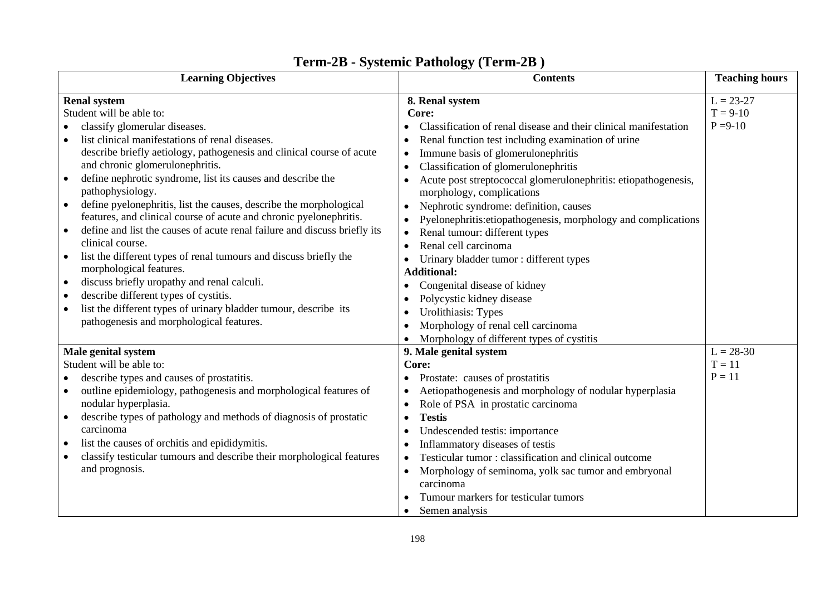| <b>Learning Objectives</b>                                                                                                                                                                                                                                                                                                                                                                                                                                                                                                                                                                                             | <b>Contents</b>                                                                                                                                                                                                                                                                                                                                                                                                                                                 | <b>Teaching hours</b>                     |
|------------------------------------------------------------------------------------------------------------------------------------------------------------------------------------------------------------------------------------------------------------------------------------------------------------------------------------------------------------------------------------------------------------------------------------------------------------------------------------------------------------------------------------------------------------------------------------------------------------------------|-----------------------------------------------------------------------------------------------------------------------------------------------------------------------------------------------------------------------------------------------------------------------------------------------------------------------------------------------------------------------------------------------------------------------------------------------------------------|-------------------------------------------|
| <b>Renal system</b><br>Student will be able to:<br>classify glomerular diseases.<br>list clinical manifestations of renal diseases.<br>describe briefly aetiology, pathogenesis and clinical course of acute<br>and chronic glomerulonephritis.<br>define nephrotic syndrome, list its causes and describe the                                                                                                                                                                                                                                                                                                         | 8. Renal system<br>Core:<br>Classification of renal disease and their clinical manifestation<br>Renal function test including examination of urine<br>Immune basis of glomerulonephritis<br>Classification of glomerulonephritis<br>Acute post streptococcal glomerulonephritis: etiopathogenesis,                                                                                                                                                              | $L = 23 - 27$<br>$T = 9-10$<br>$P = 9-10$ |
| pathophysiology.<br>define pyelonephritis, list the causes, describe the morphological<br>features, and clinical course of acute and chronic pyelonephritis.<br>define and list the causes of acute renal failure and discuss briefly its<br>$\bullet$<br>clinical course.<br>list the different types of renal tumours and discuss briefly the<br>٠<br>morphological features.<br>discuss briefly uropathy and renal calculi.<br>٠<br>describe different types of cystitis.<br>$\bullet$<br>list the different types of urinary bladder tumour, describe its<br>$\bullet$<br>pathogenesis and morphological features. | morphology, complications<br>Nephrotic syndrome: definition, causes<br>$\bullet$<br>Pyelonephritis: etiopathogenesis, morphology and complications<br>Renal tumour: different types<br>$\bullet$<br>Renal cell carcinoma<br>Urinary bladder tumor: different types<br><b>Additional:</b><br>Congenital disease of kidney<br>Polycystic kidney disease<br>Urolithiasis: Types<br>Morphology of renal cell carcinoma<br>Morphology of different types of cystitis |                                           |
| Male genital system<br>Student will be able to:<br>describe types and causes of prostatitis.<br>outline epidemiology, pathogenesis and morphological features of<br>٠<br>nodular hyperplasia.<br>describe types of pathology and methods of diagnosis of prostatic<br>carcinoma<br>list the causes of orchitis and epididymitis.<br>٠<br>classify testicular tumours and describe their morphological features<br>and prognosis.                                                                                                                                                                                       | 9. Male genital system<br>Core:<br>Prostate: causes of prostatitis<br>Aetiopathogenesis and morphology of nodular hyperplasia<br>Role of PSA in prostatic carcinoma<br><b>Testis</b><br>$\bullet$<br>Undescended testis: importance<br>Inflammatory diseases of testis<br>Testicular tumor: classification and clinical outcome<br>Morphology of seminoma, yolk sac tumor and embryonal<br>carcinoma<br>Tumour markers for testicular tumors<br>Semen analysis  | $L = 28-30$<br>$T = 11$<br>$P = 11$       |

# **Term-2B - Systemic Pathology (Term-2B )**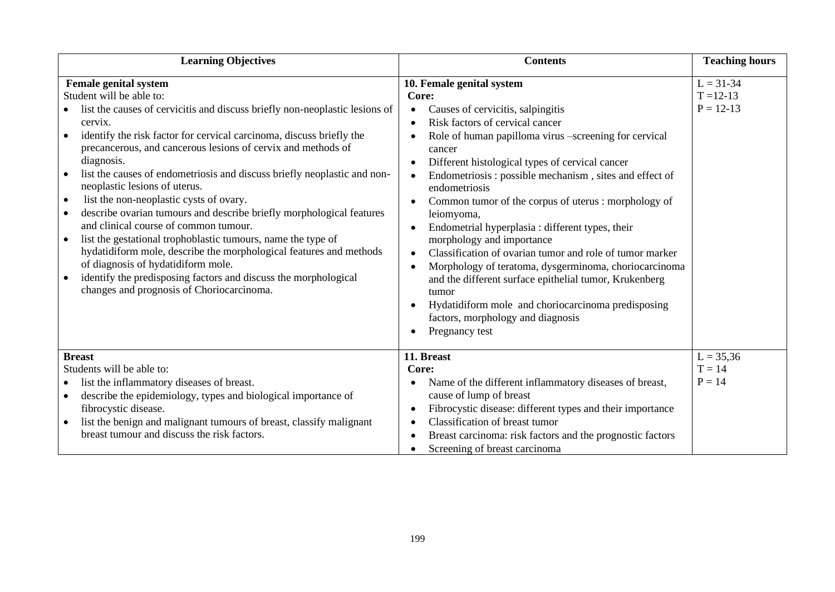| <b>Learning Objectives</b>                                                                                                                                                                                                                                                                                                                                                                                                                                                                                                                                                                                                                                                                                                                                                                                                                                                                                           | <b>Contents</b>                                                                                                                                                                                                                                                                                                                                                                                                                                                                                                                                                                                                                                                                                                                                                                                                                                                                              | <b>Teaching hours</b>                           |
|----------------------------------------------------------------------------------------------------------------------------------------------------------------------------------------------------------------------------------------------------------------------------------------------------------------------------------------------------------------------------------------------------------------------------------------------------------------------------------------------------------------------------------------------------------------------------------------------------------------------------------------------------------------------------------------------------------------------------------------------------------------------------------------------------------------------------------------------------------------------------------------------------------------------|----------------------------------------------------------------------------------------------------------------------------------------------------------------------------------------------------------------------------------------------------------------------------------------------------------------------------------------------------------------------------------------------------------------------------------------------------------------------------------------------------------------------------------------------------------------------------------------------------------------------------------------------------------------------------------------------------------------------------------------------------------------------------------------------------------------------------------------------------------------------------------------------|-------------------------------------------------|
| <b>Female genital system</b><br>Student will be able to:<br>list the causes of cervicitis and discuss briefly non-neoplastic lesions of<br>cervix.<br>identify the risk factor for cervical carcinoma, discuss briefly the<br>$\bullet$<br>precancerous, and cancerous lesions of cervix and methods of<br>diagnosis.<br>list the causes of endometriosis and discuss briefly neoplastic and non-<br>neoplastic lesions of uterus.<br>list the non-neoplastic cysts of ovary.<br>$\bullet$<br>describe ovarian tumours and describe briefly morphological features<br>and clinical course of common tumour.<br>list the gestational trophoblastic tumours, name the type of<br>$\bullet$<br>hydatidiform mole, describe the morphological features and methods<br>of diagnosis of hydatidiform mole.<br>identify the predisposing factors and discuss the morphological<br>changes and prognosis of Choriocarcinoma. | 10. Female genital system<br>Core:<br>Causes of cervicitis, salpingitis<br>$\bullet$<br>Risk factors of cervical cancer<br>Role of human papilloma virus -screening for cervical<br>$\bullet$<br>cancer<br>Different histological types of cervical cancer<br>$\bullet$<br>Endometriosis: possible mechanism, sites and effect of<br>$\bullet$<br>endometriosis<br>Common tumor of the corpus of uterus : morphology of<br>$\bullet$<br>leiomyoma,<br>Endometrial hyperplasia : different types, their<br>$\bullet$<br>morphology and importance<br>Classification of ovarian tumor and role of tumor marker<br>$\bullet$<br>Morphology of teratoma, dysgerminoma, choriocarcinoma<br>$\bullet$<br>and the different surface epithelial tumor, Krukenberg<br>tumor<br>Hydatidiform mole and choriocarcinoma predisposing<br>$\bullet$<br>factors, morphology and diagnosis<br>Pregnancy test | $L = 31 - 34$<br>$T = 12 - 13$<br>$P = 12 - 13$ |
| <b>Breast</b><br>Students will be able to:<br>list the inflammatory diseases of breast.<br>$\bullet$                                                                                                                                                                                                                                                                                                                                                                                                                                                                                                                                                                                                                                                                                                                                                                                                                 | 11. Breast<br>Core:<br>Name of the different inflammatory diseases of breast,<br>٠                                                                                                                                                                                                                                                                                                                                                                                                                                                                                                                                                                                                                                                                                                                                                                                                           | $L = 35,36$<br>$T = 14$<br>$P = 14$             |
| describe the epidemiology, types and biological importance of<br>fibrocystic disease.<br>list the benign and malignant tumours of breast, classify malignant<br>breast tumour and discuss the risk factors.                                                                                                                                                                                                                                                                                                                                                                                                                                                                                                                                                                                                                                                                                                          | cause of lump of breast<br>Fibrocystic disease: different types and their importance<br>٠<br>Classification of breast tumor<br>$\bullet$<br>Breast carcinoma: risk factors and the prognostic factors<br>Screening of breast carcinoma                                                                                                                                                                                                                                                                                                                                                                                                                                                                                                                                                                                                                                                       |                                                 |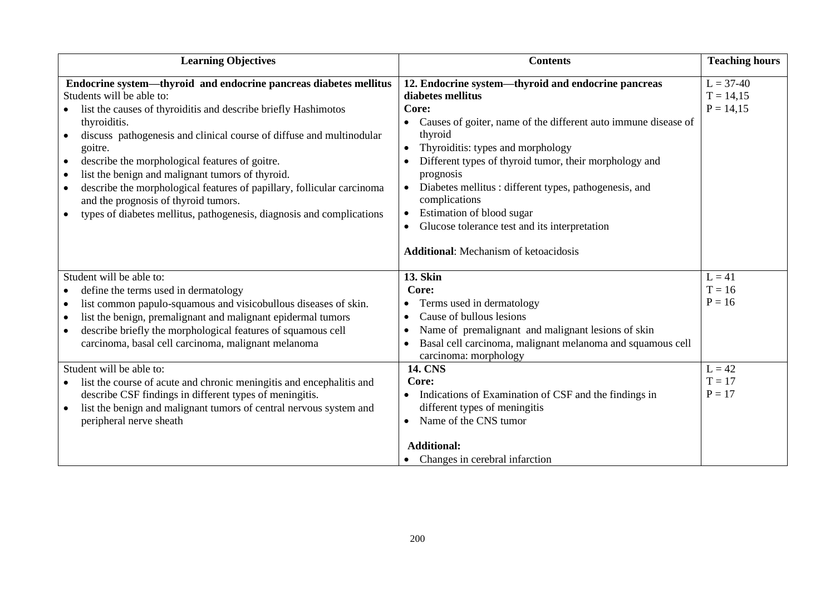| <b>Learning Objectives</b>                                                                                                                                                                                                                                                                                                                                                                                                                                                                                                                                                                              | <b>Contents</b>                                                                                                                                                                                                                                                                                                                                                                                                                                                                                               | <b>Teaching hours</b>                                                |
|---------------------------------------------------------------------------------------------------------------------------------------------------------------------------------------------------------------------------------------------------------------------------------------------------------------------------------------------------------------------------------------------------------------------------------------------------------------------------------------------------------------------------------------------------------------------------------------------------------|---------------------------------------------------------------------------------------------------------------------------------------------------------------------------------------------------------------------------------------------------------------------------------------------------------------------------------------------------------------------------------------------------------------------------------------------------------------------------------------------------------------|----------------------------------------------------------------------|
| Endocrine system-thyroid and endocrine pancreas diabetes mellitus<br>Students will be able to:<br>list the causes of thyroiditis and describe briefly Hashimotos<br>thyroiditis.<br>discuss pathogenesis and clinical course of diffuse and multinodular<br>goitre.<br>describe the morphological features of goitre.<br>list the benign and malignant tumors of thyroid.<br>describe the morphological features of papillary, follicular carcinoma<br>and the prognosis of thyroid tumors.<br>types of diabetes mellitus, pathogenesis, diagnosis and complications                                    | 12. Endocrine system—thyroid and endocrine pancreas<br>diabetes mellitus<br>Core:<br>Causes of goiter, name of the different auto immune disease of<br>thyroid<br>Thyroiditis: types and morphology<br>Different types of thyroid tumor, their morphology and<br>prognosis<br>Diabetes mellitus : different types, pathogenesis, and<br>$\bullet$<br>complications<br>Estimation of blood sugar<br>Glucose tolerance test and its interpretation<br>$\bullet$<br><b>Additional:</b> Mechanism of ketoacidosis | $L = 37-40$<br>$T = 14,15$<br>$P = 14,15$                            |
| Student will be able to:<br>define the terms used in dermatology<br>list common papulo-squamous and visicobullous diseases of skin.<br>$\bullet$<br>list the benign, premalignant and malignant epidermal tumors<br>describe briefly the morphological features of squamous cell<br>carcinoma, basal cell carcinoma, malignant melanoma<br>Student will be able to:<br>list the course of acute and chronic meningitis and encephalitis and<br>describe CSF findings in different types of meningitis.<br>list the benign and malignant tumors of central nervous system and<br>peripheral nerve sheath | <b>13. Skin</b><br>Core:<br>Terms used in dermatology<br>Cause of bullous lesions<br>Name of premalignant and malignant lesions of skin<br>Basal cell carcinoma, malignant melanoma and squamous cell<br>carcinoma: morphology<br><b>14. CNS</b><br>Core:<br>Indications of Examination of CSF and the findings in<br>different types of meningitis<br>Name of the CNS tumor<br>$\bullet$                                                                                                                     | $L = 41$<br>$T = 16$<br>$P = 16$<br>$L = 42$<br>$T = 17$<br>$P = 17$ |
|                                                                                                                                                                                                                                                                                                                                                                                                                                                                                                                                                                                                         | <b>Additional:</b><br>Changes in cerebral infarction                                                                                                                                                                                                                                                                                                                                                                                                                                                          |                                                                      |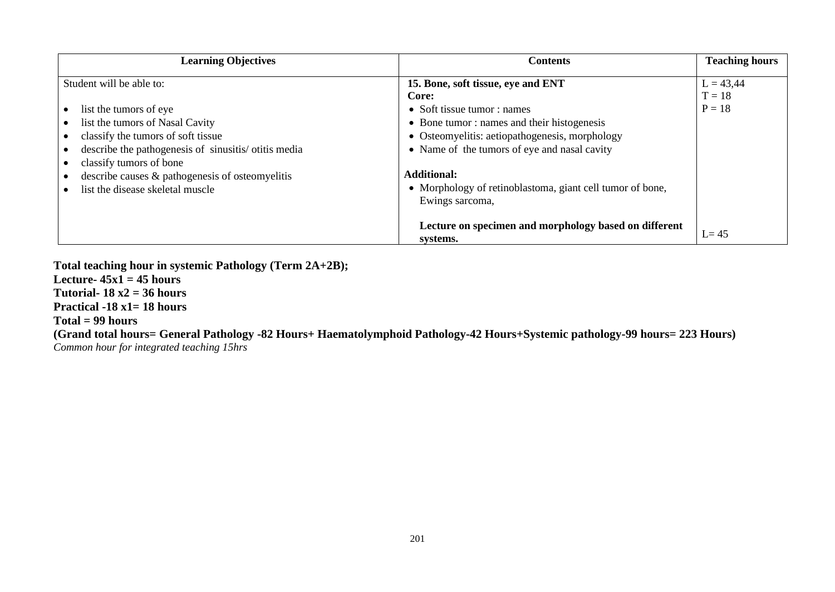| <b>Learning Objectives</b>                          | <b>Contents</b>                                                   | <b>Teaching hours</b> |
|-----------------------------------------------------|-------------------------------------------------------------------|-----------------------|
| Student will be able to:                            | 15. Bone, soft tissue, eye and ENT                                | $L = 43,44$           |
|                                                     | Core:                                                             | $T = 18$              |
| list the tumors of eye                              | • Soft tissue tumor : names                                       | $P = 18$              |
| list the tumors of Nasal Cavity                     | • Bone tumor: names and their histogenesis                        |                       |
| classify the tumors of soft tissue                  | • Osteomyelitis: aetiopathogenesis, morphology                    |                       |
| describe the pathogenesis of sinusitis/otitis media | • Name of the tumors of eye and nasal cavity                      |                       |
| classify tumors of bone                             |                                                                   |                       |
| describe causes & pathogenesis of osteomyelitis     | <b>Additional:</b>                                                |                       |
| list the disease skeletal muscle                    | • Morphology of retinoblastoma, giant cell tumor of bone,         |                       |
|                                                     | Ewings sarcoma,                                                   |                       |
|                                                     |                                                                   |                       |
|                                                     | Lecture on specimen and morphology based on different<br>systems. | $L = 45$              |

**Total teaching hour in systemic Pathology (Term 2A+2B);**

Lecture- $45x1 = 45$  hours

**Tutorial- 18 x2 = 36 hours**

**Practical -18 x1= 18 hours**

#### **Total = 99 hours**

**(Grand total hours= General Pathology -82 Hours+ Haematolymphoid Pathology-42 Hours+Systemic pathology-99 hours= 223 Hours)** *Common hour for integrated teaching 15hrs*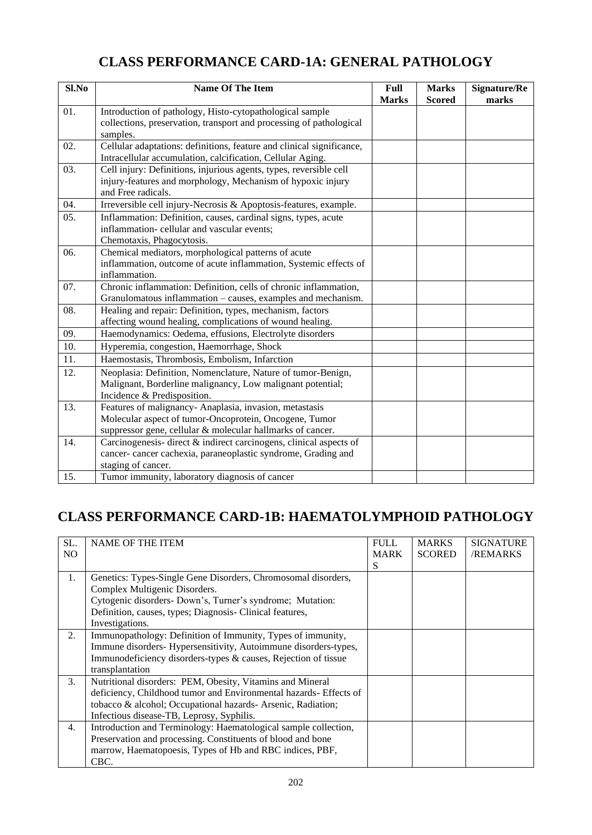# **CLASS PERFORMANCE CARD-1A: GENERAL PATHOLOGY**

| Sl.No | <b>Name Of The Item</b>                                                                                                                                                         | <b>Full</b><br><b>Marks</b> | <b>Marks</b><br><b>Scored</b> | <b>Signature/Re</b><br>marks |
|-------|---------------------------------------------------------------------------------------------------------------------------------------------------------------------------------|-----------------------------|-------------------------------|------------------------------|
| 01.   | Introduction of pathology, Histo-cytopathological sample<br>collections, preservation, transport and processing of pathological<br>samples.                                     |                             |                               |                              |
| 02.   | Cellular adaptations: definitions, feature and clinical significance,<br>Intracellular accumulation, calcification, Cellular Aging.                                             |                             |                               |                              |
| 03.   | Cell injury: Definitions, injurious agents, types, reversible cell<br>injury-features and morphology, Mechanism of hypoxic injury<br>and Free radicals.                         |                             |                               |                              |
| 04.   | Irreversible cell injury-Necrosis & Apoptosis-features, example.                                                                                                                |                             |                               |                              |
| 05.   | Inflammation: Definition, causes, cardinal signs, types, acute<br>inflammation-cellular and vascular events;<br>Chemotaxis, Phagocytosis.                                       |                             |                               |                              |
| 06.   | Chemical mediators, morphological patterns of acute<br>inflammation, outcome of acute inflammation, Systemic effects of<br>inflammation.                                        |                             |                               |                              |
| 07.   | Chronic inflammation: Definition, cells of chronic inflammation,<br>Granulomatous inflammation – causes, examples and mechanism.                                                |                             |                               |                              |
| 08.   | Healing and repair: Definition, types, mechanism, factors<br>affecting wound healing, complications of wound healing.                                                           |                             |                               |                              |
| 09.   | Haemodynamics: Oedema, effusions, Electrolyte disorders                                                                                                                         |                             |                               |                              |
| 10.   | Hyperemia, congestion, Haemorrhage, Shock                                                                                                                                       |                             |                               |                              |
| 11.   | Haemostasis, Thrombosis, Embolism, Infarction                                                                                                                                   |                             |                               |                              |
| 12.   | Neoplasia: Definition, Nomenclature, Nature of tumor-Benign,<br>Malignant, Borderline malignancy, Low malignant potential;<br>Incidence & Predisposition.                       |                             |                               |                              |
| 13.   | Features of malignancy- Anaplasia, invasion, metastasis<br>Molecular aspect of tumor-Oncoprotein, Oncogene, Tumor<br>suppressor gene, cellular & molecular hallmarks of cancer. |                             |                               |                              |
| 14.   | Carcinogenesis-direct $\&$ indirect carcinogens, clinical aspects of<br>cancer- cancer cachexia, paraneoplastic syndrome, Grading and<br>staging of cancer.                     |                             |                               |                              |
| 15.   | Tumor immunity, laboratory diagnosis of cancer                                                                                                                                  |                             |                               |                              |

# **CLASS PERFORMANCE CARD-1B: HAEMATOLYMPHOID PATHOLOGY**

| SL. | <b>NAME OF THE ITEM</b>                                           | <b>FULL</b> | <b>MARKS</b>  | <b>SIGNATURE</b> |
|-----|-------------------------------------------------------------------|-------------|---------------|------------------|
| NO. |                                                                   | <b>MARK</b> | <b>SCORED</b> | <b>/REMARKS</b>  |
|     |                                                                   | S           |               |                  |
| 1.  | Genetics: Types-Single Gene Disorders, Chromosomal disorders,     |             |               |                  |
|     | Complex Multigenic Disorders.                                     |             |               |                  |
|     | Cytogenic disorders- Down's, Turner's syndrome; Mutation:         |             |               |                  |
|     | Definition, causes, types; Diagnosis- Clinical features,          |             |               |                  |
|     | Investigations.                                                   |             |               |                  |
| 2.  | Immunopathology: Definition of Immunity, Types of immunity,       |             |               |                  |
|     | Immune disorders-Hypersensitivity, Autoimmune disorders-types,    |             |               |                  |
|     | Immunodeficiency disorders-types & causes, Rejection of tissue    |             |               |                  |
|     | transplantation                                                   |             |               |                  |
| 3.  | Nutritional disorders: PEM, Obesity, Vitamins and Mineral         |             |               |                  |
|     | deficiency, Childhood tumor and Environmental hazards- Effects of |             |               |                  |
|     | tobacco & alcohol; Occupational hazards- Arsenic, Radiation;      |             |               |                  |
|     | Infectious disease-TB, Leprosy, Syphilis.                         |             |               |                  |
| 4.  | Introduction and Terminology: Haematological sample collection,   |             |               |                  |
|     | Preservation and processing. Constituents of blood and bone       |             |               |                  |
|     | marrow, Haematopoesis, Types of Hb and RBC indices, PBF,          |             |               |                  |
|     | CBC.                                                              |             |               |                  |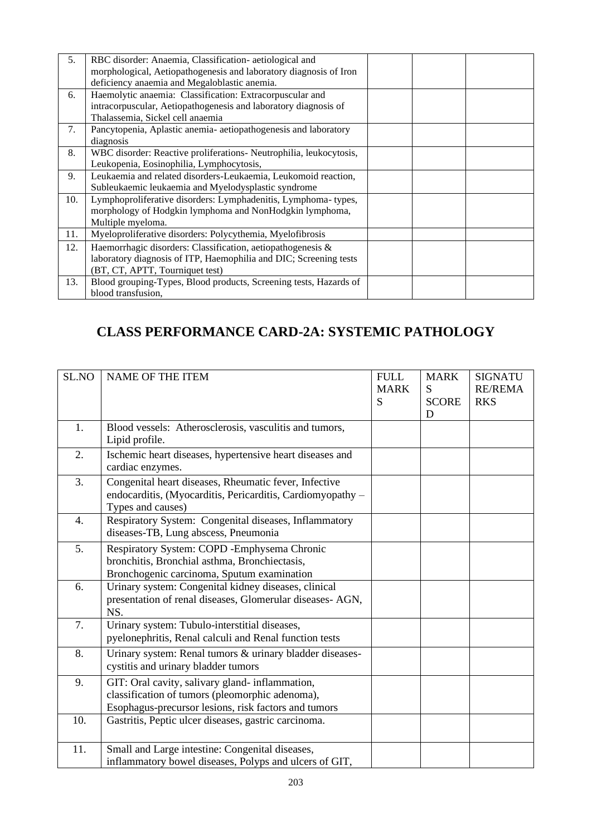| 5.  | RBC disorder: Anaemia, Classification- aetiological and<br>morphological, Aetiopathogenesis and laboratory diagnosis of Iron<br>deficiency anaemia and Megaloblastic anemia. |  |  |
|-----|------------------------------------------------------------------------------------------------------------------------------------------------------------------------------|--|--|
| 6.  | Haemolytic anaemia: Classification: Extracorpuscular and<br>intracorpuscular, Aetiopathogenesis and laboratory diagnosis of<br>Thalassemia, Sickel cell anaemia              |  |  |
| 7.  | Pancytopenia, Aplastic anemia- aetiopathogenesis and laboratory<br>diagnosis                                                                                                 |  |  |
| 8.  | WBC disorder: Reactive proliferations- Neutrophilia, leukocytosis,<br>Leukopenia, Eosinophilia, Lymphocytosis,                                                               |  |  |
| 9.  | Leukaemia and related disorders-Leukaemia, Leukomoid reaction,<br>Subleukaemic leukaemia and Myelodysplastic syndrome                                                        |  |  |
| 10. | Lymphoproliferative disorders: Lymphadenitis, Lymphoma-types,<br>morphology of Hodgkin lymphoma and NonHodgkin lymphoma,<br>Multiple myeloma.                                |  |  |
| 11. | Myeloproliferative disorders: Polycythemia, Myelofibrosis                                                                                                                    |  |  |
| 12. | Haemorrhagic disorders: Classification, aetiopathogenesis &<br>laboratory diagnosis of ITP, Haemophilia and DIC; Screening tests<br>(BT, CT, APTT, Tourniquet test)          |  |  |
| 13. | Blood grouping-Types, Blood products, Screening tests, Hazards of<br>blood transfusion,                                                                                      |  |  |

# **CLASS PERFORMANCE CARD-2A: SYSTEMIC PATHOLOGY**

| SL.NO | <b>NAME OF THE ITEM</b>                                                                                                                                    | <b>FULL</b><br><b>MARK</b><br>S | <b>MARK</b><br>S<br><b>SCORE</b><br>D | <b>SIGNATU</b><br><b>RE/REMA</b><br><b>RKS</b> |
|-------|------------------------------------------------------------------------------------------------------------------------------------------------------------|---------------------------------|---------------------------------------|------------------------------------------------|
| 1.    | Blood vessels: Atherosclerosis, vasculitis and tumors,<br>Lipid profile.                                                                                   |                                 |                                       |                                                |
| 2.    | Ischemic heart diseases, hypertensive heart diseases and<br>cardiac enzymes.                                                                               |                                 |                                       |                                                |
| 3.    | Congenital heart diseases, Rheumatic fever, Infective<br>endocarditis, (Myocarditis, Pericarditis, Cardiomyopathy –<br>Types and causes)                   |                                 |                                       |                                                |
| 4.    | Respiratory System: Congenital diseases, Inflammatory<br>diseases-TB, Lung abscess, Pneumonia                                                              |                                 |                                       |                                                |
| 5.    | Respiratory System: COPD - Emphysema Chronic<br>bronchitis, Bronchial asthma, Bronchiectasis,<br>Bronchogenic carcinoma, Sputum examination                |                                 |                                       |                                                |
| 6.    | Urinary system: Congenital kidney diseases, clinical<br>presentation of renal diseases, Glomerular diseases-AGN,<br>NS.                                    |                                 |                                       |                                                |
| 7.    | Urinary system: Tubulo-interstitial diseases,<br>pyelonephritis, Renal calculi and Renal function tests                                                    |                                 |                                       |                                                |
| 8.    | Urinary system: Renal tumors & urinary bladder diseases-<br>cystitis and urinary bladder tumors                                                            |                                 |                                       |                                                |
| 9.    | GIT: Oral cavity, salivary gland- inflammation,<br>classification of tumors (pleomorphic adenoma),<br>Esophagus-precursor lesions, risk factors and tumors |                                 |                                       |                                                |
| 10.   | Gastritis, Peptic ulcer diseases, gastric carcinoma.                                                                                                       |                                 |                                       |                                                |
| 11.   | Small and Large intestine: Congenital diseases,<br>inflammatory bowel diseases, Polyps and ulcers of GIT,                                                  |                                 |                                       |                                                |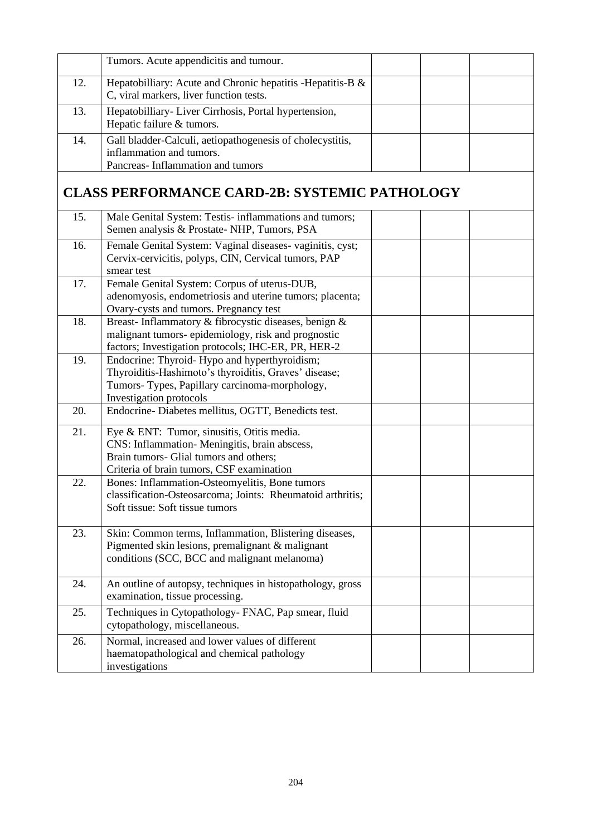|     | Tumors. Acute appendicitis and tumour.                                                                                                                                              |  |  |
|-----|-------------------------------------------------------------------------------------------------------------------------------------------------------------------------------------|--|--|
| 12. | Hepatobilliary: Acute and Chronic hepatitis - Hepatitis-B &<br>C, viral markers, liver function tests.                                                                              |  |  |
| 13. | Hepatobilliary-Liver Cirrhosis, Portal hypertension,<br>Hepatic failure & tumors.                                                                                                   |  |  |
| 14. | Gall bladder-Calculi, aetiopathogenesis of cholecystitis,<br>inflammation and tumors.<br>Pancreas-Inflammation and tumors                                                           |  |  |
|     | <b>CLASS PERFORMANCE CARD-2B: SYSTEMIC PATHOLOGY</b>                                                                                                                                |  |  |
| 15. | Male Genital System: Testis- inflammations and tumors;<br>Semen analysis & Prostate-NHP, Tumors, PSA                                                                                |  |  |
| 16. | Female Genital System: Vaginal diseases-vaginitis, cyst;<br>Cervix-cervicitis, polyps, CIN, Cervical tumors, PAP<br>smear test                                                      |  |  |
| 17. | Female Genital System: Corpus of uterus-DUB,<br>adenomyosis, endometriosis and uterine tumors; placenta;<br>Ovary-cysts and tumors. Pregnancy test                                  |  |  |
| 18. | Breast-Inflammatory & fibrocystic diseases, benign &<br>malignant tumors-epidemiology, risk and prognostic<br>factors; Investigation protocols; IHC-ER, PR, HER-2                   |  |  |
| 19. | Endocrine: Thyroid- Hypo and hyperthyroidism;<br>Thyroiditis-Hashimoto's thyroiditis, Graves' disease;<br>Tumors- Types, Papillary carcinoma-morphology,<br>Investigation protocols |  |  |
| 20. | Endocrine-Diabetes mellitus, OGTT, Benedicts test.                                                                                                                                  |  |  |
| 21. | Eye & ENT: Tumor, sinusitis, Otitis media.<br>CNS: Inflammation- Meningitis, brain abscess,<br>Brain tumors- Glial tumors and others;<br>Criteria of brain tumors, CSF examination  |  |  |
| 22. | Bones: Inflammation-Osteomyelitis, Bone tumors<br>classification-Osteosarcoma; Joints: Rheumatoid arthritis;<br>Soft tissue: Soft tissue tumors                                     |  |  |
| 23. | Skin: Common terms, Inflammation, Blistering diseases,<br>Pigmented skin lesions, premalignant & malignant<br>conditions (SCC, BCC and malignant melanoma)                          |  |  |
| 24. | An outline of autopsy, techniques in histopathology, gross<br>examination, tissue processing.                                                                                       |  |  |
| 25. | Techniques in Cytopathology- FNAC, Pap smear, fluid<br>cytopathology, miscellaneous.                                                                                                |  |  |
| 26. | Normal, increased and lower values of different<br>haematopathological and chemical pathology<br>investigations                                                                     |  |  |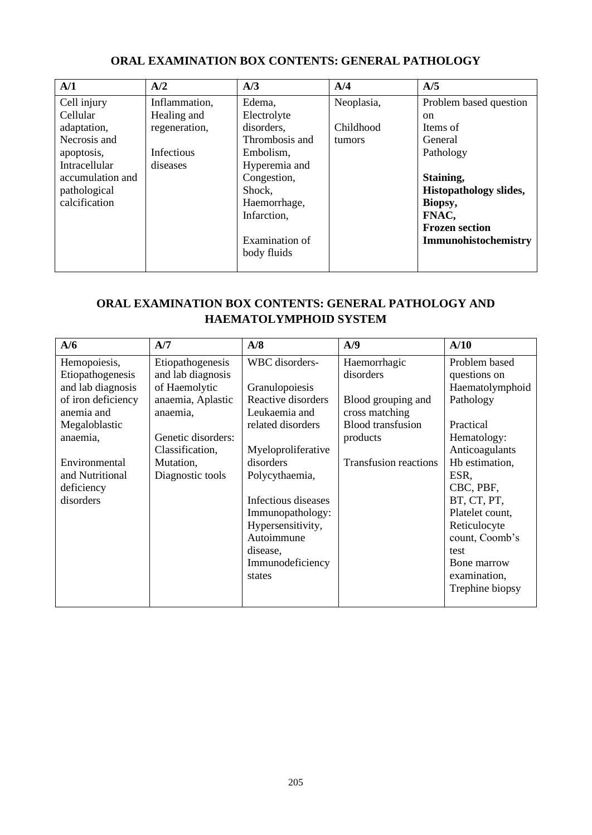| A/1              | A/2           | A/3            | A/4        | A/5                           |
|------------------|---------------|----------------|------------|-------------------------------|
| Cell injury      | Inflammation, | Edema,         | Neoplasia, | Problem based question        |
| Cellular         | Healing and   | Electrolyte    |            | <sub>on</sub>                 |
| adaptation,      | regeneration, | disorders,     | Childhood  | Items of                      |
| Necrosis and     |               | Thrombosis and | tumors     | General                       |
| apoptosis,       | Infectious    | Embolism,      |            | Pathology                     |
| Intracellular    | diseases      | Hyperemia and  |            |                               |
| accumulation and |               | Congestion,    |            | Staining,                     |
| pathological     |               | Shock,         |            | <b>Histopathology slides,</b> |
| calcification    |               | Haemorrhage,   |            | Biopsy,                       |
|                  |               | Infarction,    |            | FNAC,                         |
|                  |               |                |            | <b>Frozen section</b>         |
|                  |               | Examination of |            | Immunohistochemistry          |
|                  |               | body fluids    |            |                               |
|                  |               |                |            |                               |

## **ORAL EXAMINATION BOX CONTENTS: GENERAL PATHOLOGY**

## **ORAL EXAMINATION BOX CONTENTS: GENERAL PATHOLOGY AND HAEMATOLYMPHOID SYSTEM**

| A/6                | A/7                | A/8                 | A/9                          | A/10            |
|--------------------|--------------------|---------------------|------------------------------|-----------------|
| Hemopoiesis,       | Etiopathogenesis   | WBC disorders-      | Haemorrhagic                 | Problem based   |
| Etiopathogenesis   | and lab diagnosis  |                     | disorders                    | questions on    |
| and lab diagnosis  | of Haemolytic      | Granulopoiesis      |                              | Haematolymphoid |
| of iron deficiency | anaemia, Aplastic  | Reactive disorders  | Blood grouping and           | Pathology       |
| anemia and         | anaemia,           | Leukaemia and       | cross matching               |                 |
| Megaloblastic      |                    | related disorders   | <b>Blood transfusion</b>     | Practical       |
| anaemia,           | Genetic disorders: |                     | products                     | Hematology:     |
|                    | Classification,    | Myeloproliferative  |                              | Anticoagulants  |
| Environmental      | Mutation,          | disorders           | <b>Transfusion reactions</b> | Hb estimation,  |
| and Nutritional    | Diagnostic tools   | Polycythaemia,      |                              | ESR,            |
| deficiency         |                    |                     |                              | CBC, PBF,       |
| disorders          |                    | Infectious diseases |                              | BT, CT, PT,     |
|                    |                    | Immunopathology:    |                              | Platelet count, |
|                    |                    | Hypersensitivity,   |                              | Reticulocyte    |
|                    |                    | Autoimmune          |                              | count, Coomb's  |
|                    |                    | disease,            |                              | test            |
|                    |                    | Immunodeficiency    |                              | Bone marrow     |
|                    |                    | states              |                              | examination,    |
|                    |                    |                     |                              | Trephine biopsy |
|                    |                    |                     |                              |                 |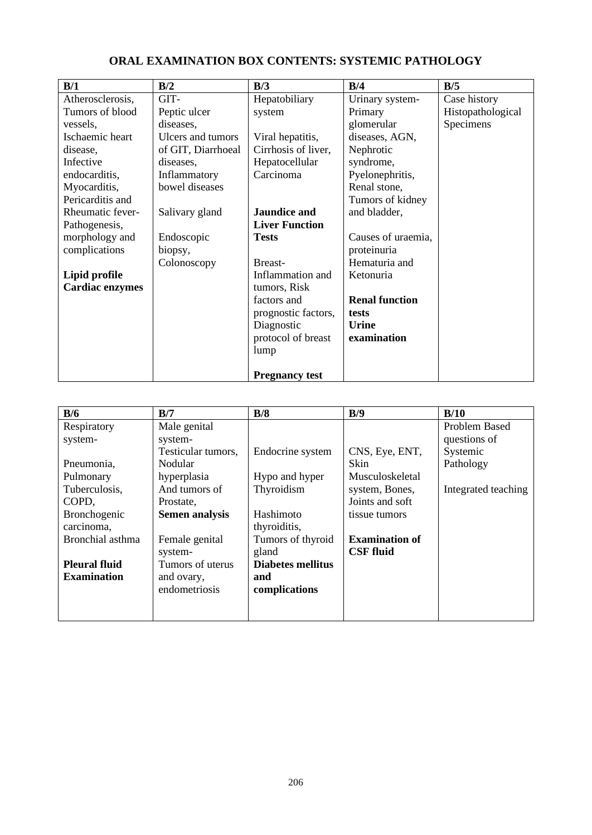| B/1                    | B/2                | B/3                   | B/4                   | B/5               |
|------------------------|--------------------|-----------------------|-----------------------|-------------------|
| Atherosclerosis,       | GIT-               | Hepatobiliary         | Urinary system-       | Case history      |
| Tumors of blood        | Peptic ulcer       | system                | Primary               | Histopathological |
| vessels,               | diseases,          |                       | glomerular            | Specimens         |
| Ischaemic heart        | Ulcers and tumors  | Viral hepatitis,      | diseases, AGN,        |                   |
| disease,               | of GIT, Diarrhoeal | Cirrhosis of liver,   | Nephrotic             |                   |
| Infective              | diseases,          | Hepatocellular        | syndrome,             |                   |
| endocarditis,          | Inflammatory       | Carcinoma             | Pyelonephritis,       |                   |
| Myocarditis,           | bowel diseases     |                       | Renal stone,          |                   |
| Pericarditis and       |                    |                       | Tumors of kidney      |                   |
| Rheumatic fever-       | Salivary gland     | <b>Jaundice and</b>   | and bladder,          |                   |
| Pathogenesis,          |                    | <b>Liver Function</b> |                       |                   |
| morphology and         | Endoscopic         | <b>Tests</b>          | Causes of uraemia,    |                   |
| complications          | biopsy,            |                       | proteinuria           |                   |
|                        | Colonoscopy        | Breast-               | Hematuria and         |                   |
| Lipid profile          |                    | Inflammation and      | Ketonuria             |                   |
| <b>Cardiac enzymes</b> |                    | tumors, Risk          |                       |                   |
|                        |                    | factors and           | <b>Renal function</b> |                   |
|                        |                    | prognostic factors,   | tests                 |                   |
|                        |                    | Diagnostic            | Urine                 |                   |
|                        |                    | protocol of breast    | examination           |                   |
|                        |                    | lump                  |                       |                   |
|                        |                    | <b>Pregnancy test</b> |                       |                   |

## **ORAL EXAMINATION BOX CONTENTS: SYSTEMIC PATHOLOGY**

| B/6                  | B/7                   | B/8                      | B/9                   | B/10                |
|----------------------|-----------------------|--------------------------|-----------------------|---------------------|
| Respiratory          | Male genital          |                          |                       | Problem Based       |
| system-              | system-               |                          |                       | questions of        |
|                      | Testicular tumors,    | Endocrine system         | CNS, Eye, ENT,        | Systemic            |
| Pneumonia,           | Nodular               |                          | Skin                  | Pathology           |
| Pulmonary            | hyperplasia           | Hypo and hyper           | Musculoskeletal       |                     |
| Tuberculosis,        | And tumors of         | Thyroidism               | system, Bones,        | Integrated teaching |
| COPD,                | Prostate,             |                          | Joints and soft       |                     |
| <b>Bronchogenic</b>  | <b>Semen analysis</b> | Hashimoto                | tissue tumors         |                     |
| carcinoma,           |                       | thyroiditis,             |                       |                     |
| Bronchial asthma     | Female genital        | Tumors of thyroid        | <b>Examination of</b> |                     |
|                      | system-               | gland                    | <b>CSF</b> fluid      |                     |
| <b>Pleural fluid</b> | Tumors of uterus      | <b>Diabetes mellitus</b> |                       |                     |
| <b>Examination</b>   | and ovary,            | and                      |                       |                     |
|                      | endometriosis         | complications            |                       |                     |
|                      |                       |                          |                       |                     |
|                      |                       |                          |                       |                     |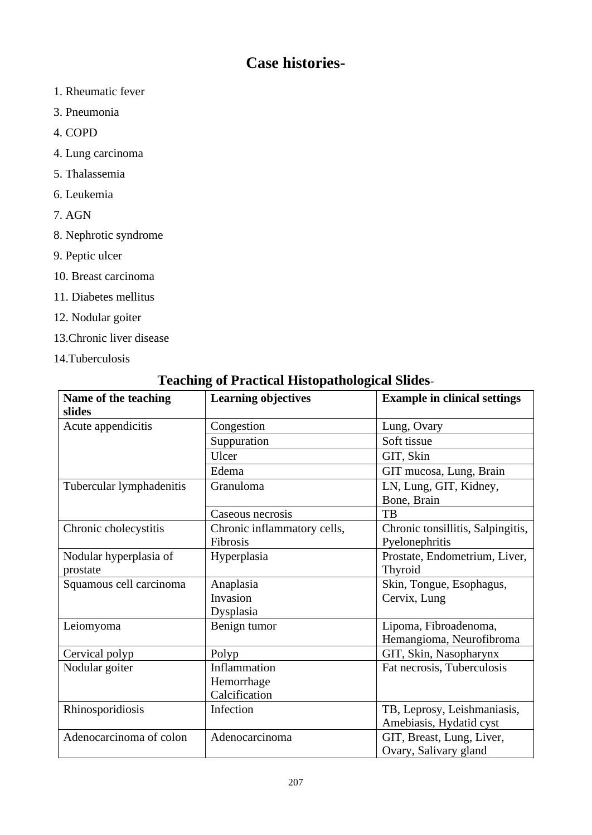# **Case histories-**

- 1. Rheumatic fever
- 3. Pneumonia
- 4. COPD
- 4. Lung carcinoma
- 5. Thalassemia
- 6. Leukemia
- 7. AGN
- 8. Nephrotic syndrome
- 9. Peptic ulcer
- 10. Breast carcinoma
- 11. Diabetes mellitus
- 12. Nodular goiter
- 13.Chronic liver disease
- 14.Tuberculosis

| Teaching of Fractical Histopathological Shues- |                             |                                     |  |
|------------------------------------------------|-----------------------------|-------------------------------------|--|
| Name of the teaching<br>slides                 | <b>Learning objectives</b>  | <b>Example in clinical settings</b> |  |
| Acute appendicitis                             | Congestion                  | Lung, Ovary                         |  |
|                                                | Suppuration                 | Soft tissue                         |  |
|                                                | Ulcer                       | GIT, Skin                           |  |
|                                                | Edema                       | GIT mucosa, Lung, Brain             |  |
| Tubercular lymphadenitis                       | Granuloma                   | LN, Lung, GIT, Kidney,              |  |
|                                                |                             | Bone, Brain                         |  |
|                                                | Caseous necrosis            | TB                                  |  |
| Chronic cholecystitis                          | Chronic inflammatory cells, | Chronic tonsillitis, Salpingitis,   |  |
|                                                | Fibrosis                    | Pyelonephritis                      |  |
| Nodular hyperplasia of                         | Hyperplasia                 | Prostate, Endometrium, Liver,       |  |
| prostate                                       |                             | Thyroid                             |  |
| Squamous cell carcinoma                        | Anaplasia                   | Skin, Tongue, Esophagus,            |  |
|                                                | Invasion                    | Cervix, Lung                        |  |
|                                                | Dysplasia                   |                                     |  |
| Leiomyoma                                      | Benign tumor                | Lipoma, Fibroadenoma,               |  |
|                                                |                             | Hemangioma, Neurofibroma            |  |
| Cervical polyp                                 | Polyp                       | GIT, Skin, Nasopharynx              |  |
| Nodular goiter                                 | Inflammation                | Fat necrosis, Tuberculosis          |  |
|                                                | Hemorrhage                  |                                     |  |
|                                                | Calcification               |                                     |  |
| Rhinosporidiosis                               | Infection                   | TB, Leprosy, Leishmaniasis,         |  |
|                                                |                             | Amebiasis, Hydatid cyst             |  |
| Adenocarcinoma of colon                        | Adenocarcinoma              | GIT, Breast, Lung, Liver,           |  |
|                                                |                             | Ovary, Salivary gland               |  |

# **Teaching of Practical Histopathological Slides**-